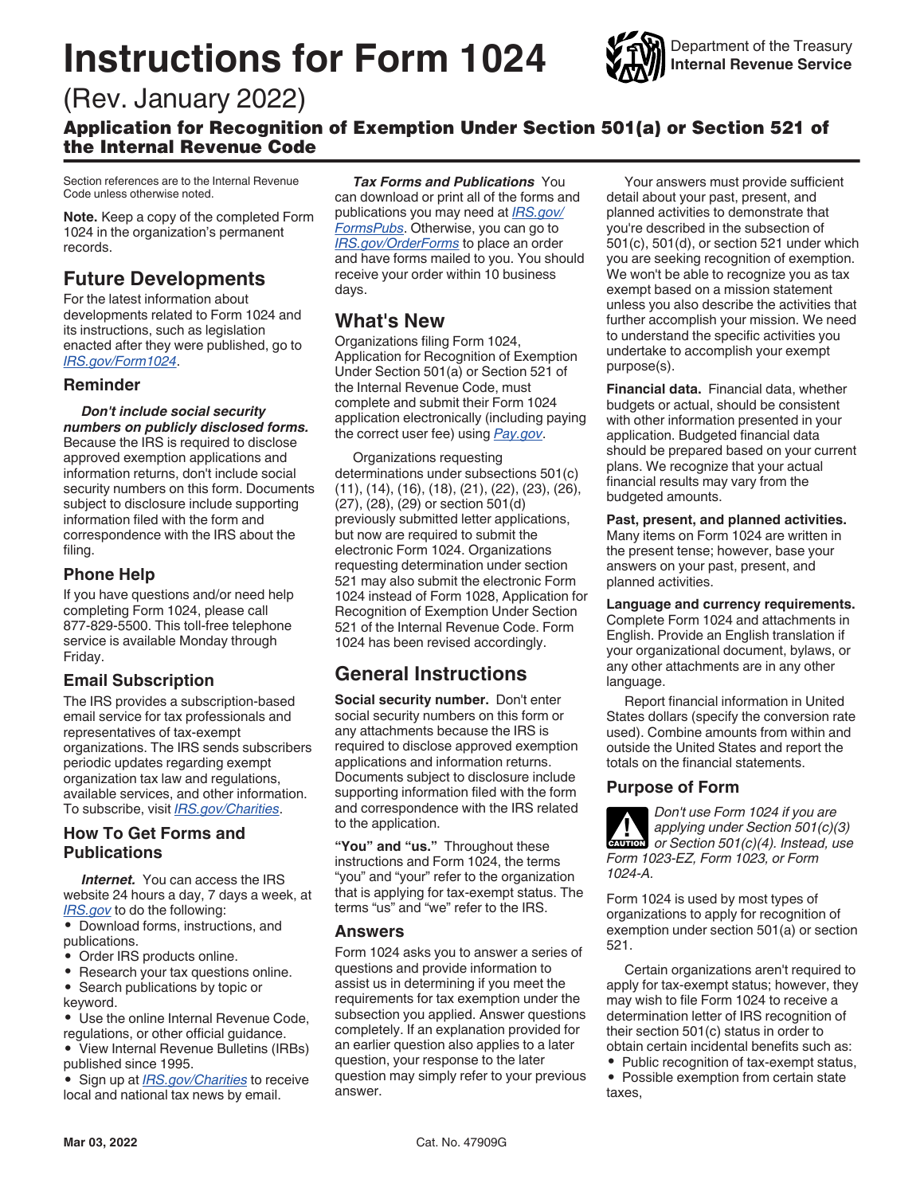# **Instructions for Form 1024**



# (Rev. January 2022)

Application for Recognition of Exemption Under Section 501(a) or Section 521 of the Internal Revenue Code

Section references are to the Internal Revenue Code unless otherwise noted.

**Note.** Keep a copy of the completed Form 1024 in the organization's permanent records.

# **Future Developments**

For the latest information about developments related to Form 1024 and its instructions, such as legislation enacted after they were published, go to *[IRS.gov/Form1024](http://www.irs.gov/forms-pubs/about-form-1024)*.

### **Reminder**

*Don't include social security numbers on publicly disclosed forms.*  Because the IRS is required to disclose approved exemption applications and information returns, don't include social security numbers on this form. Documents subject to disclosure include supporting information filed with the form and correspondence with the IRS about the filing.

#### **Phone Help**

If you have questions and/or need help completing Form 1024, please call 877-829-5500. This toll-free telephone service is available Monday through Friday.

### **Email Subscription**

The IRS provides a subscription-based email service for tax professionals and representatives of tax-exempt organizations. The IRS sends subscribers periodic updates regarding exempt organization tax law and regulations, available services, and other information. To subscribe, visit *[IRS.gov/Charities](http://www.irs.gov/newsroom/taxpayers-can-sign-up-to-receive-irs-email-subscription-services)*.

# **How To Get Forms and Publications**

*Internet.* You can access the IRS website 24 hours a day, 7 days a week, at *[IRS.gov](http://www.irs.gov/charities-and-nonprofits)* to do the following:

• Download forms, instructions, and publications.

- Order IRS products online.
- Research your tax questions online.
- Search publications by topic or keyword.

• Use the online Internal Revenue Code, regulations, or other official guidance.

• View Internal Revenue Bulletins (IRBs) published since 1995.

• Sign up at *[IRS.gov/Charities](http://www.irs.gov/charities-and-nonprofits)* to receive local and national tax news by email.

*Tax Forms and Publications* You can download or print all of the forms and publications you may need at *[IRS.gov/](http://www.irs.gov/forms-instructions) [FormsPubs](http://www.irs.gov/forms-instructions)*. Otherwise, you can go to *[IRS.gov/OrderForms](http://www.irs.gov/forms-pubs/order-products)* to place an order and have forms mailed to you. You should receive your order within 10 business days.

# **What's New**

Organizations filing Form 1024, Application for Recognition of Exemption Under Section 501(a) or Section 521 of the Internal Revenue Code, must complete and submit their Form 1024 application electronically (including paying the correct user fee) using *[Pay.gov](http://www.pay.gov/public/home)*.

Organizations requesting determinations under subsections 501(c) (11), (14), (16), (18), (21), (22), (23), (26), (27), (28), (29) or section 501(d) previously submitted letter applications, but now are required to submit the electronic Form 1024. Organizations requesting determination under section 521 may also submit the electronic Form 1024 instead of Form 1028, Application for Recognition of Exemption Under Section 521 of the Internal Revenue Code. Form 1024 has been revised accordingly.

# **General Instructions**

**Social security number.** Don't enter social security numbers on this form or any attachments because the IRS is required to disclose approved exemption applications and information returns. Documents subject to disclosure include supporting information filed with the form and correspondence with the IRS related to the application.

**"You" and "us."** Throughout these instructions and Form 1024, the terms "you" and "your" refer to the organization that is applying for tax-exempt status. The terms "us" and "we" refer to the IRS.

#### **Answers**

Form 1024 asks you to answer a series of questions and provide information to assist us in determining if you meet the requirements for tax exemption under the subsection you applied. Answer questions completely. If an explanation provided for an earlier question also applies to a later question, your response to the later question may simply refer to your previous answer.

Your answers must provide sufficient detail about your past, present, and planned activities to demonstrate that you're described in the subsection of 501(c), 501(d), or section 521 under which you are seeking recognition of exemption. We won't be able to recognize you as tax exempt based on a mission statement unless you also describe the activities that further accomplish your mission. We need to understand the specific activities you undertake to accomplish your exempt purpose(s).

**Financial data.** Financial data, whether budgets or actual, should be consistent with other information presented in your application. Budgeted financial data should be prepared based on your current plans. We recognize that your actual financial results may vary from the budgeted amounts.

**Past, present, and planned activities.**  Many items on Form 1024 are written in the present tense; however, base your answers on your past, present, and planned activities.

**Language and currency requirements.**  Complete Form 1024 and attachments in English. Provide an English translation if your organizational document, bylaws, or any other attachments are in any other language.

Report financial information in United States dollars (specify the conversion rate used). Combine amounts from within and outside the United States and report the totals on the financial statements.

### **Purpose of Form**

*Don't use Form 1024 if you are applying under Section 501(c)(3) or Section 501(c)(4). Instead, use Form 1023-EZ, Form 1023, or Form 1024-A.* **CAUTION !**

Form 1024 is used by most types of organizations to apply for recognition of exemption under section 501(a) or section 521.

Certain organizations aren't required to apply for tax-exempt status; however, they may wish to file Form 1024 to receive a determination letter of IRS recognition of their section 501(c) status in order to obtain certain incidental benefits such as:

• Public recognition of tax-exempt status, • Possible exemption from certain state taxes,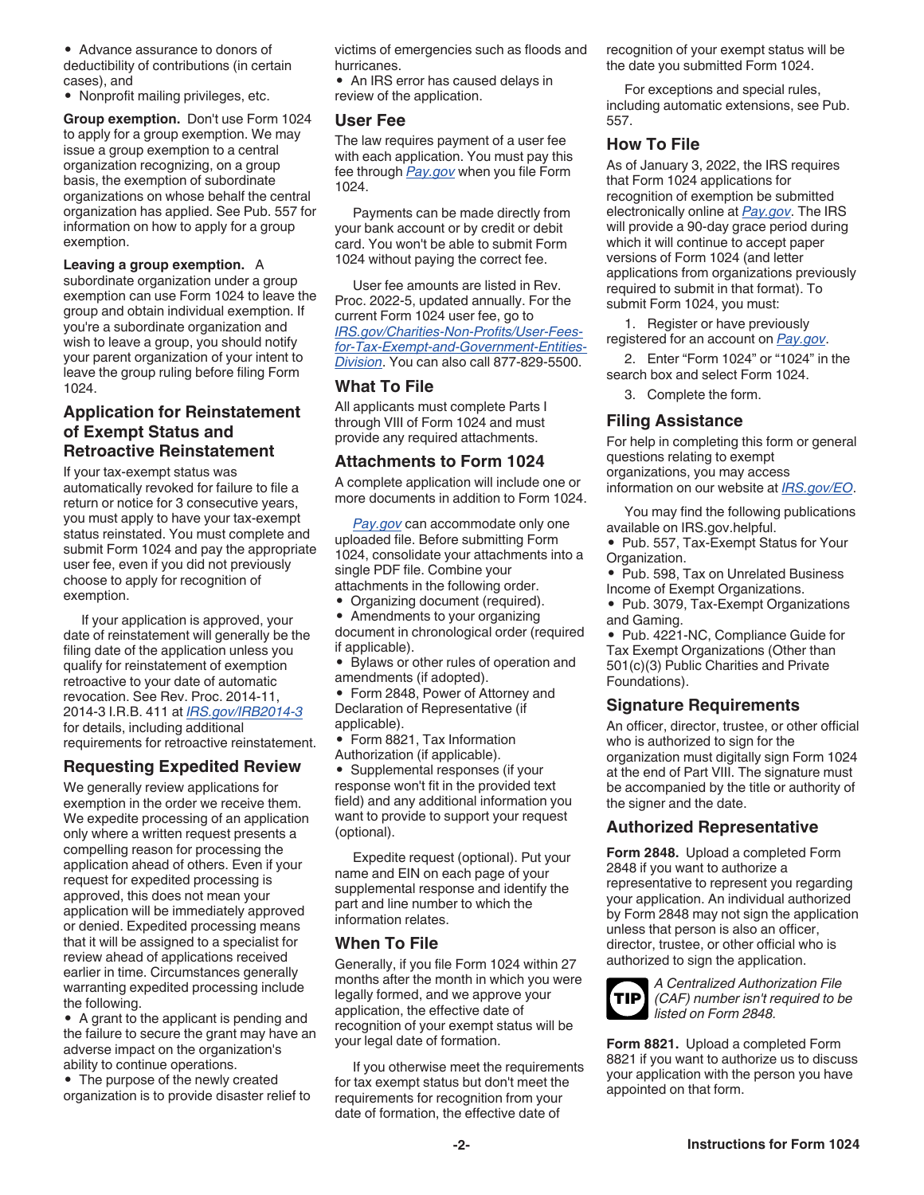• Advance assurance to donors of deductibility of contributions (in certain cases), and

• Nonprofit mailing privileges, etc.

**Group exemption.** Don't use Form 1024 to apply for a group exemption. We may issue a group exemption to a central organization recognizing, on a group basis, the exemption of subordinate organizations on whose behalf the central organization has applied. See Pub. 557 for information on how to apply for a group exemption.

**Leaving a group exemption.** A subordinate organization under a group exemption can use Form 1024 to leave the group and obtain individual exemption. If you're a subordinate organization and wish to leave a group, you should notify your parent organization of your intent to leave the group ruling before filing Form 1024.

# **Application for Reinstatement of Exempt Status and Retroactive Reinstatement**

If your tax-exempt status was automatically revoked for failure to file a return or notice for 3 consecutive years, you must apply to have your tax-exempt status reinstated. You must complete and submit Form 1024 and pay the appropriate user fee, even if you did not previously choose to apply for recognition of exemption.

If your application is approved, your date of reinstatement will generally be the filing date of the application unless you qualify for reinstatement of exemption retroactive to your date of automatic revocation. See Rev. Proc. 2014-11, 2014-3 I.R.B. 411 at *[IRS.gov/IRB2014-3](http://core.publish.no.irs.gov/irb/pdf/wb201403.pdf#page=020)*  for details, including additional requirements for retroactive reinstatement.

#### **Requesting Expedited Review**

We generally review applications for exemption in the order we receive them. We expedite processing of an application only where a written request presents a compelling reason for processing the application ahead of others. Even if your request for expedited processing is approved, this does not mean your application will be immediately approved or denied. Expedited processing means that it will be assigned to a specialist for review ahead of applications received earlier in time. Circumstances generally warranting expedited processing include the following.

• A grant to the applicant is pending and the failure to secure the grant may have an adverse impact on the organization's ability to continue operations.

• The purpose of the newly created organization is to provide disaster relief to victims of emergencies such as floods and hurricanes.

• An IRS error has caused delays in review of the application.

#### **User Fee**

The law requires payment of a user fee with each application. You must pay this fee through *[Pay.gov](http://www.pay.gov/public/home)* when you file Form 1024.

Payments can be made directly from your bank account or by credit or debit card. You won't be able to submit Form 1024 without paying the correct fee.

User fee amounts are listed in Rev. Proc. 2022-5, updated annually. For the current Form 1024 user fee, go to *[IRS.gov/Charities-Non-Profits/User-Fees](http://core.publish.no.irs.gov/irb/pdf/wb202101.pdf#page=252)[for-Tax-Exempt-and-Government-Entities-](http://core.publish.no.irs.gov/irb/pdf/wb202101.pdf#page=252)[Division](http://core.publish.no.irs.gov/irb/pdf/wb202101.pdf#page=252)*. You can also call 877-829-5500.

# **What To File**

All applicants must complete Parts I through VIII of Form 1024 and must provide any required attachments.

# **Attachments to Form 1024**

A complete application will include one or more documents in addition to Form 1024.

*[Pay.gov](http://www.pay.gov/public/home)* can accommodate only one uploaded file. Before submitting Form 1024, consolidate your attachments into a single PDF file. Combine your attachments in the following order.

• Organizing document (required). • Amendments to your organizing

document in chronological order (required if applicable).

• Bylaws or other rules of operation and amendments (if adopted).

• Form 2848, Power of Attorney and Declaration of Representative (if applicable).

• Form 8821, Tax Information Authorization (if applicable).

• Supplemental responses (if your response won't fit in the provided text field) and any additional information you want to provide to support your request (optional).

Expedite request (optional). Put your name and EIN on each page of your supplemental response and identify the part and line number to which the information relates.

### **When To File**

Generally, if you file Form 1024 within 27 months after the month in which you were legally formed, and we approve your application, the effective date of recognition of your exempt status will be your legal date of formation.

If you otherwise meet the requirements for tax exempt status but don't meet the requirements for recognition from your date of formation, the effective date of

recognition of your exempt status will be the date you submitted Form 1024.

For exceptions and special rules, including automatic extensions, see Pub. 557.

### **How To File**

As of January 3, 2022, the IRS requires that Form 1024 applications for recognition of exemption be submitted electronically online at *[Pay.gov](http://www.pay.gov/public/home)*. The IRS will provide a 90-day grace period during which it will continue to accept paper versions of Form 1024 (and letter applications from organizations previously required to submit in that format). To submit Form 1024, you must:

1. Register or have previously registered for an account on *[Pay.gov](http://www.pay.gov/public/home)*.

2. Enter "Form 1024" or "1024" in the search box and select Form 1024.

3. Complete the form.

#### **Filing Assistance**

For help in completing this form or general questions relating to exempt organizations, you may access information on our website at *[IRS.gov/EO](http://www.irs.gov/charities-and-nonprofits)*.

You may find the following publications available on IRS.gov.helpful.

• Pub. 557, Tax-Exempt Status for Your Organization.

• Pub. 598, Tax on Unrelated Business Income of Exempt Organizations.

• Pub. 3079, Tax-Exempt Organizations and Gaming.

• Pub. 4221-NC, Compliance Guide for Tax Exempt Organizations (Other than 501(c)(3) Public Charities and Private Foundations).

# **Signature Requirements**

An officer, director, trustee, or other official who is authorized to sign for the organization must digitally sign Form 1024 at the end of Part VIII. The signature must be accompanied by the title or authority of the signer and the date.

### **Authorized Representative**

**Form 2848.** Upload a completed Form 2848 if you want to authorize a representative to represent you regarding your application. An individual authorized by Form 2848 may not sign the application unless that person is also an officer, director, trustee, or other official who is authorized to sign the application.



*A Centralized Authorization File (CAF) number isn't required to be listed on Form 2848.*

**Form 8821.** Upload a completed Form 8821 if you want to authorize us to discuss your application with the person you have appointed on that form.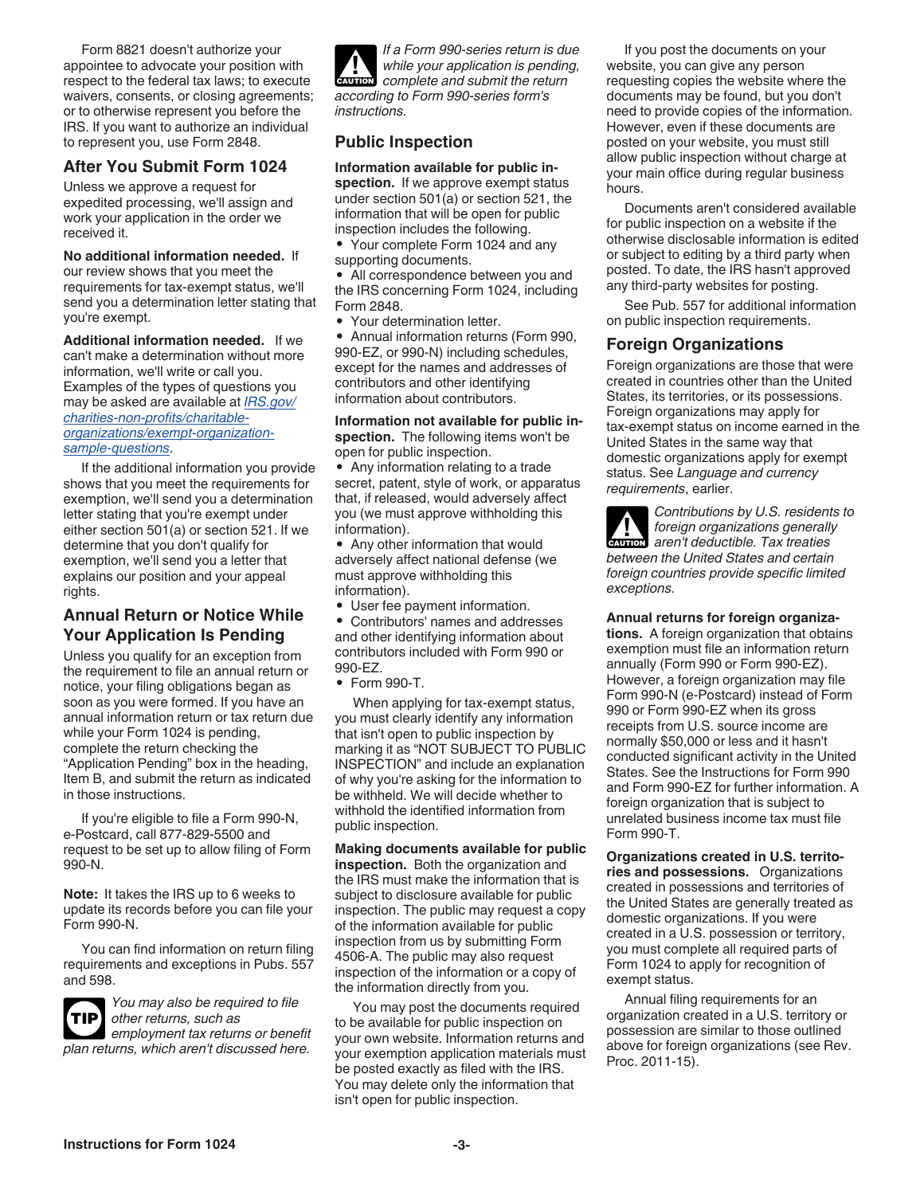Form 8821 doesn't authorize your appointee to advocate your position with respect to the federal tax laws; to execute waivers, consents, or closing agreements; or to otherwise represent you before the IRS. If you want to authorize an individual to represent you, use Form 2848.

# **After You Submit Form 1024**

Unless we approve a request for expedited processing, we'll assign and work your application in the order we received it.

**No additional information needed.** If our review shows that you meet the requirements for tax-exempt status, we'll send you a determination letter stating that you're exempt.

**Additional information needed.** If we can't make a determination without more information, we'll write or call you. Examples of the types of questions you may be asked are available at *[IRS.gov/](https://www.irs.gov/charities-non-profits/charitable-organizations/exempt-organization-sample-questions) [charities-non-profits/charitable](https://www.irs.gov/charities-non-profits/charitable-organizations/exempt-organization-sample-questions)[organizations/exempt-organization](https://www.irs.gov/charities-non-profits/charitable-organizations/exempt-organization-sample-questions)[sample-questions](https://www.irs.gov/charities-non-profits/charitable-organizations/exempt-organization-sample-questions)*.

If the additional information you provide shows that you meet the requirements for exemption, we'll send you a determination letter stating that you're exempt under either section 501(a) or section 521. If we determine that you don't qualify for exemption, we'll send you a letter that explains our position and your appeal rights.

### **Annual Return or Notice While Your Application Is Pending**

Unless you qualify for an exception from the requirement to file an annual return or notice, your filing obligations began as soon as you were formed. If you have an annual information return or tax return due while your Form 1024 is pending, complete the return checking the "Application Pending" box in the heading, Item B, and submit the return as indicated in those instructions.

If you're eligible to file a Form 990-N, e-Postcard, call 877-829-5500 and request to be set up to allow filing of Form 990-N.

**Note:** It takes the IRS up to 6 weeks to update its records before you can file your Form 990-N.

You can find information on return filing requirements and exceptions in Pubs. 557 and 598.



*You may also be required to file other returns, such as* 

*employment tax returns or benefit plan returns, which aren't discussed here.*

*If a Form 990-series return is due while your application is pending, complete and submit the return according to Form 990-series form's instructions.* **CAUTION !**

# **Public Inspection**

**Information available for public inspection.** If we approve exempt status under section 501(a) or section 521, the information that will be open for public inspection includes the following.

• Your complete Form 1024 and any supporting documents.

• All correspondence between you and the IRS concerning Form 1024, including Form 2848.

• Your determination letter.

• Annual information returns (Form 990, 990-EZ, or 990-N) including schedules, except for the names and addresses of contributors and other identifying information about contributors.

**Information not available for public inspection.** The following items won't be open for public inspection.

• Any information relating to a trade secret, patent, style of work, or apparatus that, if released, would adversely affect you (we must approve withholding this information).

• Any other information that would adversely affect national defense (we must approve withholding this information).

• User fee payment information.

• Contributors' names and addresses and other identifying information about contributors included with Form 990 or 990-EZ.

• Form 990-T.

When applying for tax-exempt status, you must clearly identify any information that isn't open to public inspection by marking it as "NOT SUBJECT TO PUBLIC INSPECTION" and include an explanation of why you're asking for the information to be withheld. We will decide whether to withhold the identified information from public inspection.

**Making documents available for public inspection.** Both the organization and the IRS must make the information that is subject to disclosure available for public inspection. The public may request a copy of the information available for public inspection from us by submitting Form 4506-A. The public may also request inspection of the information or a copy of the information directly from you.

You may post the documents required to be available for public inspection on your own website. Information returns and your exemption application materials must be posted exactly as filed with the IRS. You may delete only the information that isn't open for public inspection.

If you post the documents on your website, you can give any person requesting copies the website where the documents may be found, but you don't need to provide copies of the information. However, even if these documents are posted on your website, you must still allow public inspection without charge at your main office during regular business hours.

Documents aren't considered available for public inspection on a website if the otherwise disclosable information is edited or subject to editing by a third party when posted. To date, the IRS hasn't approved any third-party websites for posting.

See Pub. 557 for additional information on public inspection requirements.

### **Foreign Organizations**

Foreign organizations are those that were created in countries other than the United States, its territories, or its possessions. Foreign organizations may apply for tax-exempt status on income earned in the United States in the same way that domestic organizations apply for exempt status. See *Language and currency requirements*, earlier.

*Contributions by U.S. residents to foreign organizations generally*  **CAUTION** *aren't deductible. Tax treaties between the United States and certain foreign countries provide specific limited exceptions.*

**Annual returns for foreign organiza-**

**tions.** A foreign organization that obtains exemption must file an information return annually (Form 990 or Form 990-EZ). However, a foreign organization may file Form 990-N (e-Postcard) instead of Form 990 or Form 990-EZ when its gross receipts from U.S. source income are normally \$50,000 or less and it hasn't conducted significant activity in the United States. See the Instructions for Form 990 and Form 990-EZ for further information. A foreign organization that is subject to unrelated business income tax must file Form 990-T.

**Organizations created in U.S. territories and possessions.** Organizations created in possessions and territories of the United States are generally treated as domestic organizations. If you were created in a U.S. possession or territory, you must complete all required parts of Form 1024 to apply for recognition of exempt status.

Annual filing requirements for an organization created in a U.S. territory or possession are similar to those outlined above for foreign organizations (see Rev. Proc. 2011-15).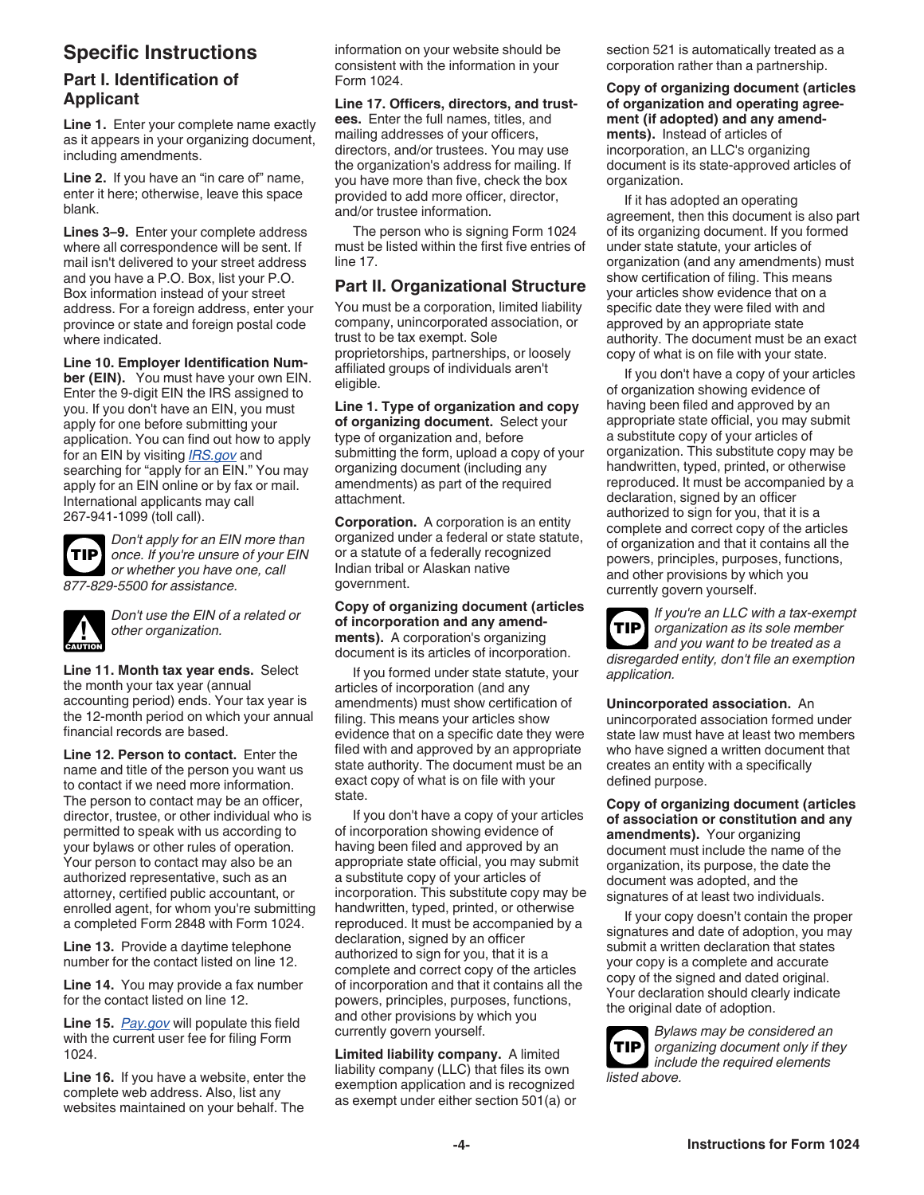# **Specific Instructions**

# **Part I. Identification of Applicant**

**Line 1.** Enter your complete name exactly as it appears in your organizing document, including amendments.

**Line 2.** If you have an "in care of" name, enter it here; otherwise, leave this space blank.

**Lines 3–9.** Enter your complete address where all correspondence will be sent. If mail isn't delivered to your street address and you have a P.O. Box, list your P.O. Box information instead of your street address. For a foreign address, enter your province or state and foreign postal code where indicated.

**Line 10. Employer Identification Number (EIN).** You must have your own EIN. Enter the 9-digit EIN the IRS assigned to you. If you don't have an EIN, you must apply for one before submitting your application. You can find out how to apply for an EIN by visiting *[IRS.gov](http://www.irs.gov/)* and searching for "apply for an EIN." You may apply for an EIN online or by fax or mail. International applicants may call 267-941-1099 (toll call).

**TIP**

*Don't apply for an EIN more than once. If you're unsure of your EIN or whether you have one, call 877-829-5500 for assistance.*



*Don't use the EIN of a related or other organization.*

**Line 11. Month tax year ends.** Select the month your tax year (annual accounting period) ends. Your tax year is the 12-month period on which your annual financial records are based.

**Line 12. Person to contact.** Enter the name and title of the person you want us to contact if we need more information. The person to contact may be an officer, director, trustee, or other individual who is permitted to speak with us according to your bylaws or other rules of operation. Your person to contact may also be an authorized representative, such as an attorney, certified public accountant, or enrolled agent, for whom you're submitting a completed Form 2848 with Form 1024.

**Line 13.** Provide a daytime telephone number for the contact listed on line 12.

**Line 14.** You may provide a fax number for the contact listed on line 12.

**Line 15.** *[Pay.gov](https://www.pay.gov/public/home)* will populate this field with the current user fee for filing Form 1024.

**Line 16.** If you have a website, enter the complete web address. Also, list any websites maintained on your behalf. The

information on your website should be consistent with the information in your Form 1024.

**Line 17. Officers, directors, and trustees.** Enter the full names, titles, and mailing addresses of your officers, directors, and/or trustees. You may use the organization's address for mailing. If you have more than five, check the box provided to add more officer, director, and/or trustee information.

The person who is signing Form 1024 must be listed within the first five entries of  $\ln 47$ 

# **Part II. Organizational Structure**

You must be a corporation, limited liability company, unincorporated association, or trust to be tax exempt. Sole proprietorships, partnerships, or loosely affiliated groups of individuals aren't eligible.

**Line 1. Type of organization and copy of organizing document.** Select your type of organization and, before submitting the form, upload a copy of your organizing document (including any amendments) as part of the required attachment.

**Corporation.** A corporation is an entity organized under a federal or state statute, or a statute of a federally recognized Indian tribal or Alaskan native government.

**Copy of organizing document (articles of incorporation and any amendments).** A corporation's organizing document is its articles of incorporation.

If you formed under state statute, your articles of incorporation (and any amendments) must show certification of filing. This means your articles show evidence that on a specific date they were filed with and approved by an appropriate state authority. The document must be an exact copy of what is on file with your state.

If you don't have a copy of your articles of incorporation showing evidence of having been filed and approved by an appropriate state official, you may submit a substitute copy of your articles of incorporation. This substitute copy may be handwritten, typed, printed, or otherwise reproduced. It must be accompanied by a declaration, signed by an officer authorized to sign for you, that it is a complete and correct copy of the articles of incorporation and that it contains all the powers, principles, purposes, functions, and other provisions by which you currently govern yourself.

**Limited liability company.** A limited liability company (LLC) that files its own exemption application and is recognized as exempt under either section 501(a) or section 521 is automatically treated as a corporation rather than a partnership.

**Copy of organizing document (articles of organization and operating agreement (if adopted) and any amendments).** Instead of articles of incorporation, an LLC's organizing document is its state-approved articles of organization.

If it has adopted an operating agreement, then this document is also part of its organizing document. If you formed under state statute, your articles of organization (and any amendments) must show certification of filing. This means your articles show evidence that on a specific date they were filed with and approved by an appropriate state authority. The document must be an exact copy of what is on file with your state.

If you don't have a copy of your articles of organization showing evidence of having been filed and approved by an appropriate state official, you may submit a substitute copy of your articles of organization. This substitute copy may be handwritten, typed, printed, or otherwise reproduced. It must be accompanied by a declaration, signed by an officer authorized to sign for you, that it is a complete and correct copy of the articles of organization and that it contains all the powers, principles, purposes, functions, and other provisions by which you currently govern yourself.

*If you're an LLC with a tax-exempt organization as its sole member and you want to be treated as a disregarded entity, don't file an exemption application.* **TIP**

**Unincorporated association.** An unincorporated association formed under state law must have at least two members who have signed a written document that creates an entity with a specifically defined purpose.

**Copy of organizing document (articles of association or constitution and any amendments).** Your organizing document must include the name of the organization, its purpose, the date the document was adopted, and the signatures of at least two individuals.

If your copy doesn't contain the proper signatures and date of adoption, you may submit a written declaration that states your copy is a complete and accurate copy of the signed and dated original. Your declaration should clearly indicate the original date of adoption.

*Bylaws may be considered an organizing document only if they include the required elements listed above.* **TIP**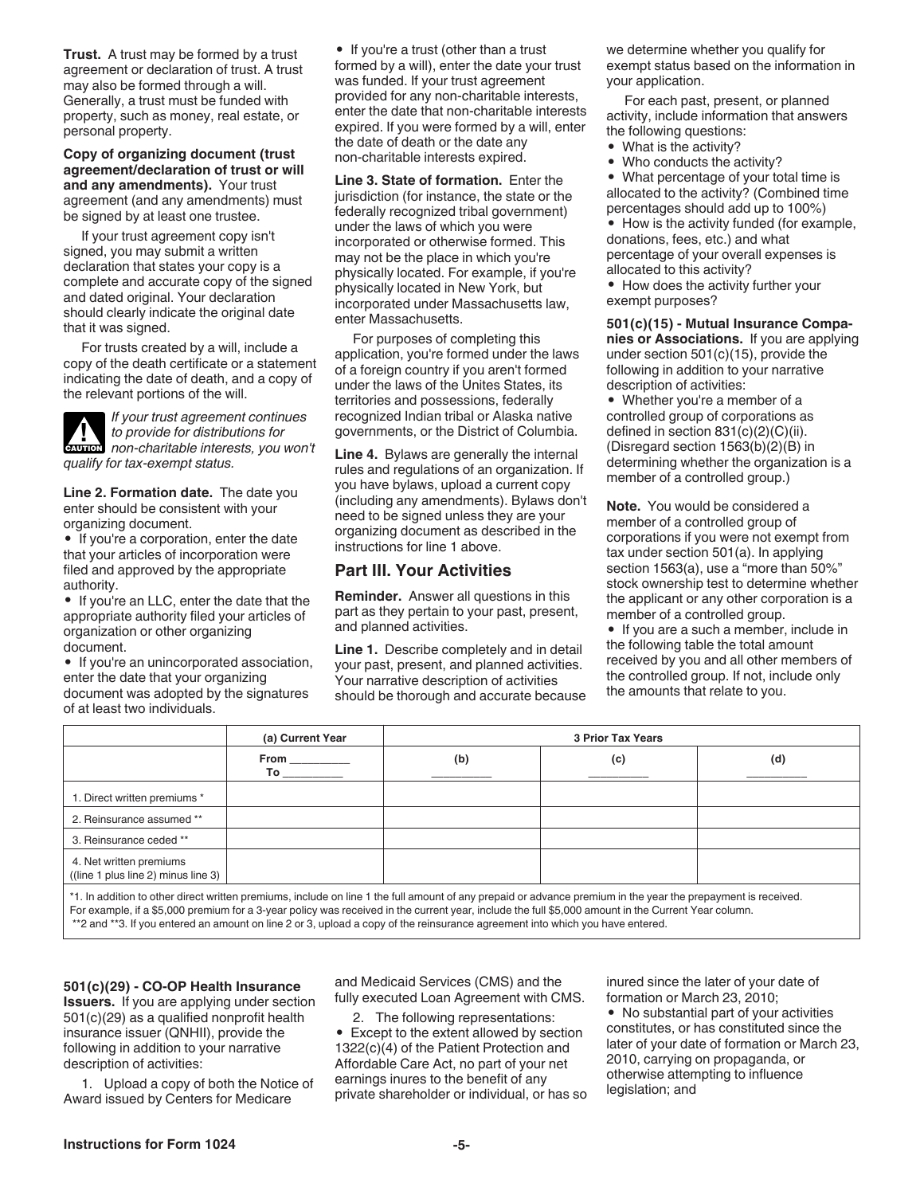**Trust.** A trust may be formed by a trust agreement or declaration of trust. A trust may also be formed through a will. Generally, a trust must be funded with property, such as money, real estate, or personal property.

**Copy of organizing document (trust agreement/declaration of trust or will and any amendments).** Your trust agreement (and any amendments) must be signed by at least one trustee.

If your trust agreement copy isn't signed, you may submit a written declaration that states your copy is a complete and accurate copy of the signed and dated original. Your declaration should clearly indicate the original date that it was signed.

For trusts created by a will, include a copy of the death certificate or a statement indicating the date of death, and a copy of the relevant portions of the will.

*If your trust agreement continues to provide for distributions for*  **c** *to provide for distributions for*<br> **CAUTION** *non-charitable interests, you won't qualify for tax-exempt status.*

**Line 2. Formation date.** The date you enter should be consistent with your organizing document.

• If you're a corporation, enter the date that your articles of incorporation were filed and approved by the appropriate authority.

• If you're an LLC, enter the date that the appropriate authority filed your articles of organization or other organizing document.

• If you're an unincorporated association, enter the date that your organizing document was adopted by the signatures of at least two individuals.

• If you're a trust (other than a trust formed by a will), enter the date your trust was funded. If your trust agreement provided for any non-charitable interests, enter the date that non-charitable interests expired. If you were formed by a will, enter the date of death or the date any non-charitable interests expired.

**Line 3. State of formation.** Enter the jurisdiction (for instance, the state or the federally recognized tribal government) under the laws of which you were incorporated or otherwise formed. This may not be the place in which you're physically located. For example, if you're physically located in New York, but incorporated under Massachusetts law, enter Massachusetts.

For purposes of completing this application, you're formed under the laws of a foreign country if you aren't formed under the laws of the Unites States, its territories and possessions, federally recognized Indian tribal or Alaska native governments, or the District of Columbia.

**Line 4.** Bylaws are generally the internal rules and regulations of an organization. If you have bylaws, upload a current copy (including any amendments). Bylaws don't need to be signed unless they are your organizing document as described in the instructions for line 1 above.

#### **Part III. Your Activities**

**Reminder.** Answer all questions in this part as they pertain to your past, present, and planned activities.

**Line 1.** Describe completely and in detail your past, present, and planned activities. Your narrative description of activities should be thorough and accurate because we determine whether you qualify for exempt status based on the information in your application.

For each past, present, or planned activity, include information that answers the following questions:

- What is the activity?
- Who conducts the activity?

• What percentage of your total time is allocated to the activity? (Combined time percentages should add up to 100%)

• How is the activity funded (for example, donations, fees, etc.) and what percentage of your overall expenses is allocated to this activity?

• How does the activity further your exempt purposes?

**501(c)(15) - Mutual Insurance Companies or Associations.** If you are applying under section 501(c)(15), provide the following in addition to your narrative description of activities:

• Whether you're a member of a controlled group of corporations as defined in section 831(c)(2)(C)(ii). (Disregard section 1563(b)(2)(B) in determining whether the organization is a member of a controlled group.)

**Note.** You would be considered a member of a controlled group of corporations if you were not exempt from tax under section 501(a). In applying section 1563(a), use a "more than 50%" stock ownership test to determine whether the applicant or any other corporation is a member of a controlled group.

• If you are a such a member, include in the following table the total amount received by you and all other members of the controlled group. If not, include only the amounts that relate to you.

|                                                                | (a) Current Year | <b>3 Prior Tax Years</b> |                                                                                                                                                                                                                                |     |  |  |
|----------------------------------------------------------------|------------------|--------------------------|--------------------------------------------------------------------------------------------------------------------------------------------------------------------------------------------------------------------------------|-----|--|--|
|                                                                |                  | (b)                      | (c)                                                                                                                                                                                                                            | (d) |  |  |
| 1. Direct written premiums *                                   |                  |                          |                                                                                                                                                                                                                                |     |  |  |
| 2. Reinsurance assumed **                                      |                  |                          |                                                                                                                                                                                                                                |     |  |  |
| 3. Reinsurance ceded **                                        |                  |                          |                                                                                                                                                                                                                                |     |  |  |
| 4. Net written premiums<br>((line 1 plus line 2) minus line 3) |                  |                          |                                                                                                                                                                                                                                |     |  |  |
|                                                                |                  |                          | ** The coldition is a site of the collection of the following of the following of a concerted and change completed in the computer magnetic magnetic magnetic magnetic magnetic magnetic magnetic magnetic magnetic magnetic m |     |  |  |

\*1. In addition to other direct written premiums, include on line 1 the full amount of any prepaid or advance premium in the year the prepayment is received. For example, if a \$5,000 premium for a 3-year policy was received in the current year, include the full \$5,000 amount in the Current Year column. \*\*2 and \*\*3. If you entered an amount on line 2 or 3, upload a copy of the reinsurance agreement into which you have entered.

**501(c)(29) - CO-OP Health Insurance Issuers.** If you are applying under section 501(c)(29) as a qualified nonprofit health insurance issuer (QNHII), provide the following in addition to your narrative description of activities:

1. Upload a copy of both the Notice of Award issued by Centers for Medicare

and Medicaid Services (CMS) and the fully executed Loan Agreement with CMS.

2. The following representations:

• Except to the extent allowed by section 1322(c)(4) of the Patient Protection and Affordable Care Act, no part of your net earnings inures to the benefit of any private shareholder or individual, or has so inured since the later of your date of formation or March 23, 2010;

• No substantial part of your activities constitutes, or has constituted since the later of your date of formation or March 23, 2010, carrying on propaganda, or otherwise attempting to influence legislation; and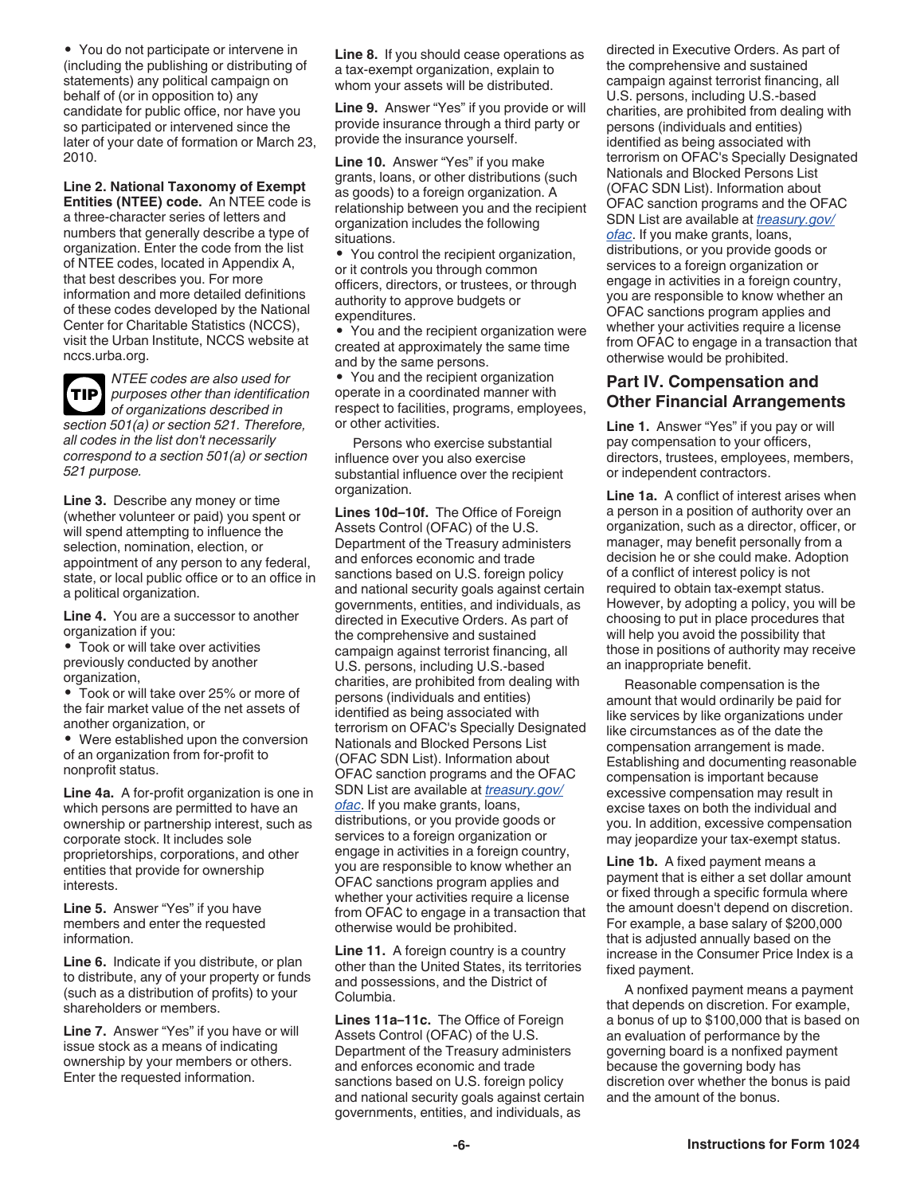• You do not participate or intervene in (including the publishing or distributing of statements) any political campaign on behalf of (or in opposition to) any candidate for public office, nor have you so participated or intervened since the later of your date of formation or March 23, 2010.

**Line 2. National Taxonomy of Exempt Entities (NTEE) code.** An NTEE code is a three-character series of letters and numbers that generally describe a type of organization. Enter the code from the list of NTEE codes, located in Appendix A, that best describes you. For more information and more detailed definitions of these codes developed by the National Center for Charitable Statistics (NCCS), visit the Urban Institute, NCCS website at nccs.urba.org.



*NTEE codes are also used for purposes other than identification of organizations described in section 501(a) or section 521. Therefore, all codes in the list don't necessarily correspond to a section 501(a) or section 521 purpose.*

**Line 3.** Describe any money or time (whether volunteer or paid) you spent or will spend attempting to influence the selection, nomination, election, or appointment of any person to any federal, state, or local public office or to an office in a political organization.

**Line 4.** You are a successor to another organization if you:

• Took or will take over activities previously conducted by another organization,

• Took or will take over 25% or more of the fair market value of the net assets of another organization, or

• Were established upon the conversion of an organization from for-profit to nonprofit status.

**Line 4a.** A for-profit organization is one in which persons are permitted to have an ownership or partnership interest, such as corporate stock. It includes sole proprietorships, corporations, and other entities that provide for ownership interests.

**Line 5.** Answer "Yes" if you have members and enter the requested information.

**Line 6.** Indicate if you distribute, or plan to distribute, any of your property or funds (such as a distribution of profits) to your shareholders or members.

**Line 7.** Answer "Yes" if you have or will issue stock as a means of indicating ownership by your members or others. Enter the requested information.

**Line 8.** If you should cease operations as a tax-exempt organization, explain to whom your assets will be distributed.

**Line 9.** Answer "Yes" if you provide or will provide insurance through a third party or provide the insurance yourself.

**Line 10.** Answer "Yes" if you make grants, loans, or other distributions (such as goods) to a foreign organization. A relationship between you and the recipient organization includes the following situations.

• You control the recipient organization, or it controls you through common officers, directors, or trustees, or through authority to approve budgets or expenditures.

• You and the recipient organization were created at approximately the same time and by the same persons.

• You and the recipient organization operate in a coordinated manner with respect to facilities, programs, employees, or other activities.

Persons who exercise substantial influence over you also exercise substantial influence over the recipient organization.

**Lines 10d–10f.** The Office of Foreign Assets Control (OFAC) of the U.S. Department of the Treasury administers and enforces economic and trade sanctions based on U.S. foreign policy and national security goals against certain governments, entities, and individuals, as directed in Executive Orders. As part of the comprehensive and sustained campaign against terrorist financing, all U.S. persons, including U.S.-based charities, are prohibited from dealing with persons (individuals and entities) identified as being associated with terrorism on OFAC's Specially Designated Nationals and Blocked Persons List (OFAC SDN List). Information about OFAC sanction programs and the OFAC SDN List are available at *[treasury.gov/](https://home.treasury.gov/policy-issues/office-of-foreign-assets-control-sanctions-programs-and-information) [ofac](https://home.treasury.gov/policy-issues/office-of-foreign-assets-control-sanctions-programs-and-information)*. If you make grants, loans, distributions, or you provide goods or services to a foreign organization or engage in activities in a foreign country, you are responsible to know whether an OFAC sanctions program applies and whether your activities require a license from OFAC to engage in a transaction that otherwise would be prohibited.

**Line 11.** A foreign country is a country other than the United States, its territories and possessions, and the District of Columbia.

**Lines 11a–11c.** The Office of Foreign Assets Control (OFAC) of the U.S. Department of the Treasury administers and enforces economic and trade sanctions based on U.S. foreign policy and national security goals against certain governments, entities, and individuals, as

directed in Executive Orders. As part of the comprehensive and sustained campaign against terrorist financing, all U.S. persons, including U.S.-based charities, are prohibited from dealing with persons (individuals and entities) identified as being associated with terrorism on OFAC's Specially Designated Nationals and Blocked Persons List (OFAC SDN List). Information about OFAC sanction programs and the OFAC SDN List are available at *[treasury.gov/](https://home.treasury.gov/policy-issues/office-of-foreign-assets-control-sanctions-programs-and-information) [ofac](https://home.treasury.gov/policy-issues/office-of-foreign-assets-control-sanctions-programs-and-information)*. If you make grants, loans, distributions, or you provide goods or services to a foreign organization or engage in activities in a foreign country, you are responsible to know whether an OFAC sanctions program applies and whether your activities require a license

### **Part IV. Compensation and Other Financial Arrangements**

otherwise would be prohibited.

from OFAC to engage in a transaction that

**Line 1.** Answer "Yes" if you pay or will pay compensation to your officers, directors, trustees, employees, members, or independent contractors.

**Line 1a.** A conflict of interest arises when a person in a position of authority over an organization, such as a director, officer, or manager, may benefit personally from a decision he or she could make. Adoption of a conflict of interest policy is not required to obtain tax-exempt status. However, by adopting a policy, you will be choosing to put in place procedures that will help you avoid the possibility that those in positions of authority may receive an inappropriate benefit.

Reasonable compensation is the amount that would ordinarily be paid for like services by like organizations under like circumstances as of the date the compensation arrangement is made. Establishing and documenting reasonable compensation is important because excessive compensation may result in excise taxes on both the individual and you. In addition, excessive compensation may jeopardize your tax-exempt status.

**Line 1b.** A fixed payment means a payment that is either a set dollar amount or fixed through a specific formula where the amount doesn't depend on discretion. For example, a base salary of \$200,000 that is adjusted annually based on the increase in the Consumer Price Index is a fixed payment.

A nonfixed payment means a payment that depends on discretion. For example, a bonus of up to \$100,000 that is based on an evaluation of performance by the governing board is a nonfixed payment because the governing body has discretion over whether the bonus is paid and the amount of the bonus.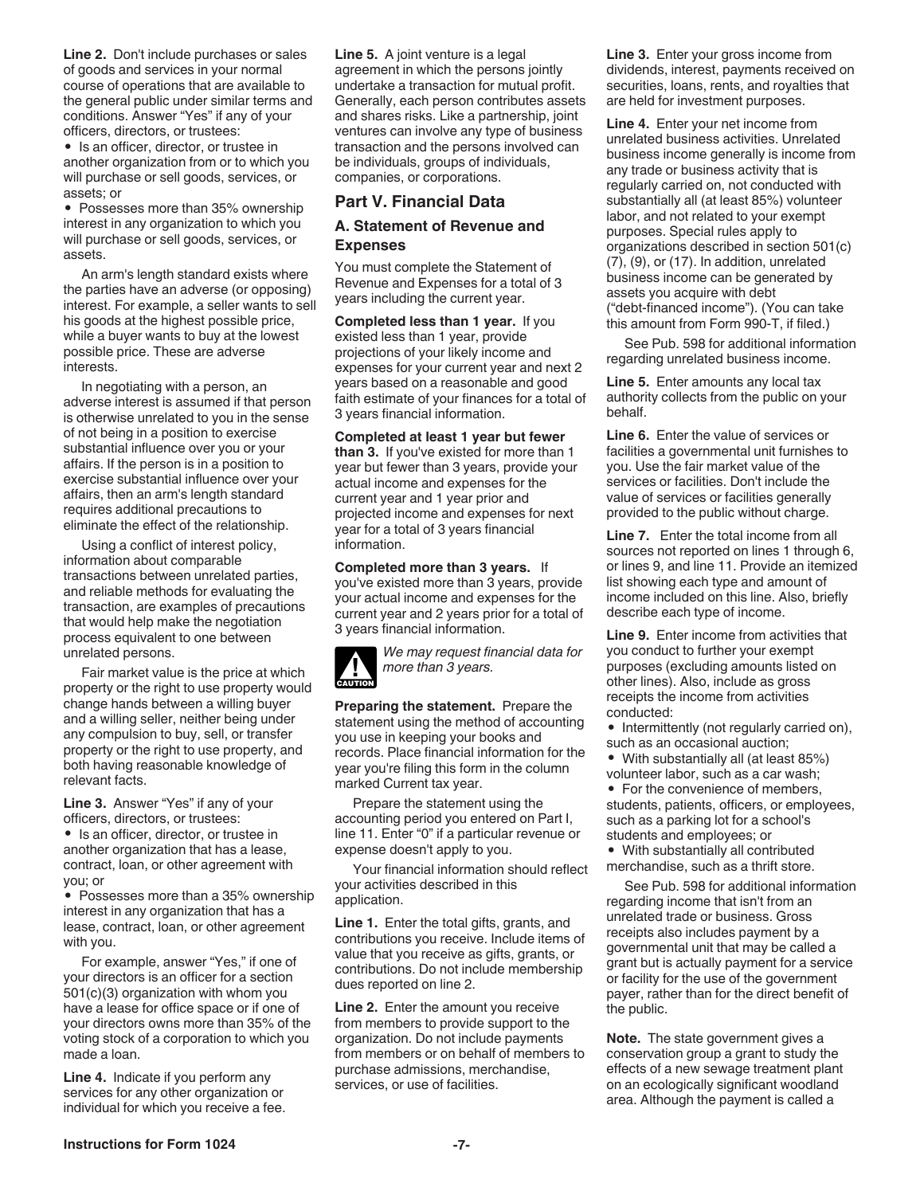**Line 2.** Don't include purchases or sales of goods and services in your normal course of operations that are available to the general public under similar terms and conditions. Answer "Yes" if any of your officers, directors, or trustees:

• Is an officer, director, or trustee in another organization from or to which you will purchase or sell goods, services, or assets; or

• Possesses more than 35% ownership interest in any organization to which you will purchase or sell goods, services, or assets.

An arm's length standard exists where the parties have an adverse (or opposing) interest. For example, a seller wants to sell his goods at the highest possible price, while a buyer wants to buy at the lowest possible price. These are adverse interests.

In negotiating with a person, an adverse interest is assumed if that person is otherwise unrelated to you in the sense of not being in a position to exercise substantial influence over you or your affairs. If the person is in a position to exercise substantial influence over your affairs, then an arm's length standard requires additional precautions to eliminate the effect of the relationship.

Using a conflict of interest policy, information about comparable transactions between unrelated parties, and reliable methods for evaluating the transaction, are examples of precautions that would help make the negotiation process equivalent to one between unrelated persons.

Fair market value is the price at which property or the right to use property would change hands between a willing buyer and a willing seller, neither being under any compulsion to buy, sell, or transfer property or the right to use property, and both having reasonable knowledge of relevant facts.

**Line 3.** Answer "Yes" if any of your officers, directors, or trustees:

• Is an officer, director, or trustee in another organization that has a lease, contract, loan, or other agreement with you; or

• Possesses more than a 35% ownership interest in any organization that has a lease, contract, loan, or other agreement with you.

For example, answer "Yes," if one of your directors is an officer for a section 501(c)(3) organization with whom you have a lease for office space or if one of your directors owns more than 35% of the voting stock of a corporation to which you made a loan.

**Line 4.** Indicate if you perform any services for any other organization or individual for which you receive a fee. **Line 5.** A joint venture is a legal agreement in which the persons jointly undertake a transaction for mutual profit. Generally, each person contributes assets and shares risks. Like a partnership, joint ventures can involve any type of business transaction and the persons involved can be individuals, groups of individuals, companies, or corporations.

#### **Part V. Financial Data**

#### **A. Statement of Revenue and Expenses**

You must complete the Statement of Revenue and Expenses for a total of 3 years including the current year.

**Completed less than 1 year.** If you existed less than 1 year, provide projections of your likely income and expenses for your current year and next 2 years based on a reasonable and good faith estimate of your finances for a total of 3 years financial information.

**Completed at least 1 year but fewer than 3.** If you've existed for more than 1 year but fewer than 3 years, provide your actual income and expenses for the current year and 1 year prior and projected income and expenses for next year for a total of 3 years financial information.

**Completed more than 3 years.** If you've existed more than 3 years, provide your actual income and expenses for the current year and 2 years prior for a total of 3 years financial information.



*We may request financial data for more than 3 years.*

**Preparing the statement.** Prepare the statement using the method of accounting you use in keeping your books and records. Place financial information for the year you're filing this form in the column marked Current tax year.

Prepare the statement using the accounting period you entered on Part I, line 11. Enter "0" if a particular revenue or expense doesn't apply to you.

Your financial information should reflect your activities described in this application.

**Line 1.** Enter the total gifts, grants, and contributions you receive. Include items of value that you receive as gifts, grants, or contributions. Do not include membership dues reported on line 2.

**Line 2.** Enter the amount you receive from members to provide support to the organization. Do not include payments from members or on behalf of members to purchase admissions, merchandise, services, or use of facilities.

**Line 3.** Enter your gross income from dividends, interest, payments received on securities, loans, rents, and royalties that are held for investment purposes.

**Line 4.** Enter your net income from unrelated business activities. Unrelated business income generally is income from any trade or business activity that is regularly carried on, not conducted with substantially all (at least 85%) volunteer labor, and not related to your exempt purposes. Special rules apply to organizations described in section 501(c) (7), (9), or (17). In addition, unrelated business income can be generated by assets you acquire with debt ("debt-financed income"). (You can take this amount from Form 990-T, if filed.)

See Pub. 598 for additional information regarding unrelated business income.

**Line 5.** Enter amounts any local tax authority collects from the public on your behalf.

**Line 6.** Enter the value of services or facilities a governmental unit furnishes to you. Use the fair market value of the services or facilities. Don't include the value of services or facilities generally provided to the public without charge.

**Line 7.** Enter the total income from all sources not reported on lines 1 through 6, or lines 9, and line 11. Provide an itemized list showing each type and amount of income included on this line. Also, briefly describe each type of income.

**Line 9.** Enter income from activities that you conduct to further your exempt purposes (excluding amounts listed on other lines). Also, include as gross receipts the income from activities conducted:

• Intermittently (not regularly carried on), such as an occasional auction;

• With substantially all (at least 85%) volunteer labor, such as a car wash;

• For the convenience of members, students, patients, officers, or employees, such as a parking lot for a school's students and employees; or

• With substantially all contributed

merchandise, such as a thrift store. See Pub. 598 for additional information

regarding income that isn't from an unrelated trade or business. Gross receipts also includes payment by a governmental unit that may be called a grant but is actually payment for a service or facility for the use of the government payer, rather than for the direct benefit of the public.

**Note.** The state government gives a conservation group a grant to study the effects of a new sewage treatment plant on an ecologically significant woodland area. Although the payment is called a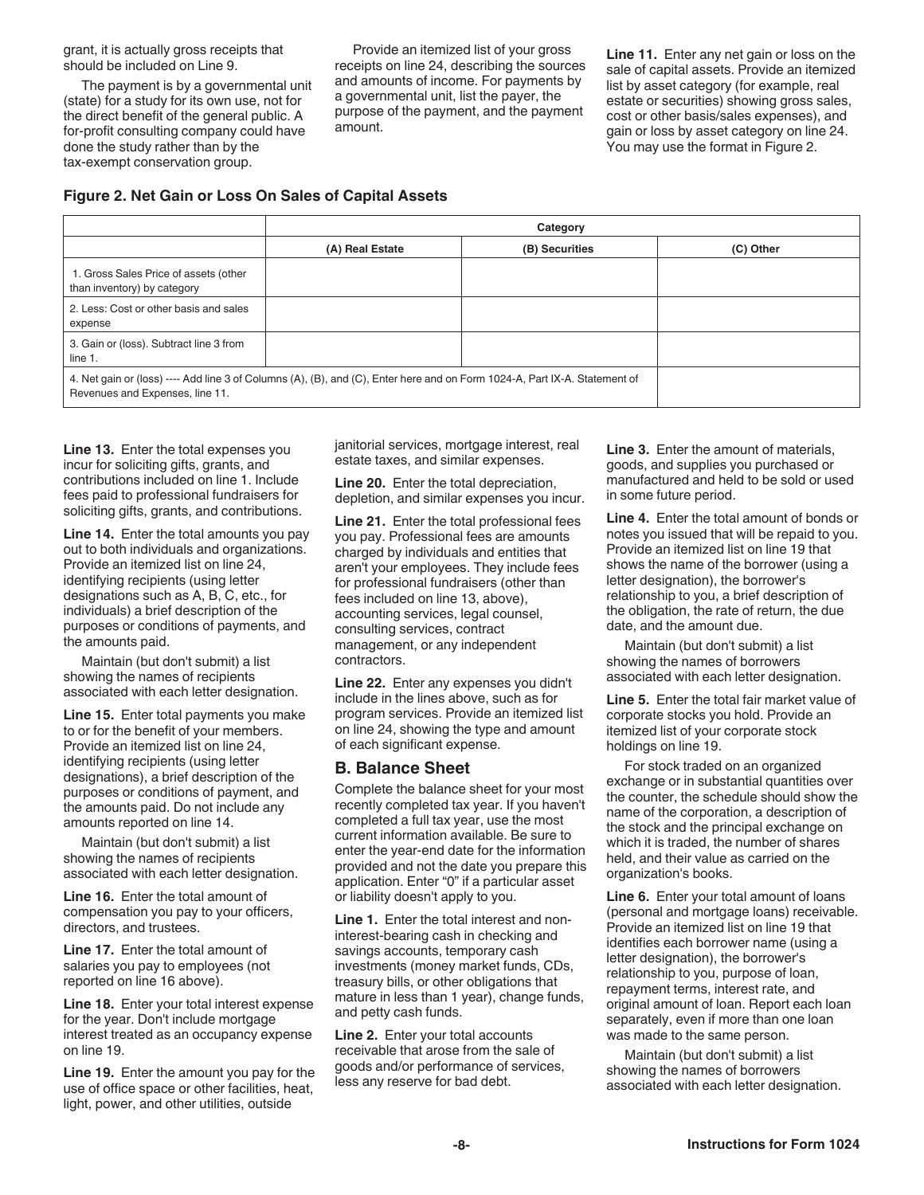grant, it is actually gross receipts that should be included on Line 9.

The payment is by a governmental unit (state) for a study for its own use, not for the direct benefit of the general public. A for-profit consulting company could have done the study rather than by the tax-exempt conservation group.

Provide an itemized list of your gross receipts on line 24, describing the sources and amounts of income. For payments by a governmental unit, list the payer, the purpose of the payment, and the payment amount.

**Line 11.** Enter any net gain or loss on the sale of capital assets. Provide an itemized list by asset category (for example, real estate or securities) showing gross sales, cost or other basis/sales expenses), and gain or loss by asset category on line 24. You may use the format in Figure 2.

#### **Figure 2. Net Gain or Loss On Sales of Capital Assets**

|                                                                                                                                                               | Category        |                |           |  |  |
|---------------------------------------------------------------------------------------------------------------------------------------------------------------|-----------------|----------------|-----------|--|--|
|                                                                                                                                                               | (A) Real Estate | (B) Securities | (C) Other |  |  |
| 1. Gross Sales Price of assets (other<br>than inventory) by category                                                                                          |                 |                |           |  |  |
| 2. Less: Cost or other basis and sales<br>expense                                                                                                             |                 |                |           |  |  |
| 3. Gain or (loss). Subtract line 3 from<br>line $1$ .                                                                                                         |                 |                |           |  |  |
| 4. Net gain or (loss) ---- Add line 3 of Columns (A), (B), and (C), Enter here and on Form 1024-A, Part IX-A. Statement of<br>Revenues and Expenses, line 11. |                 |                |           |  |  |

**Line 13.** Enter the total expenses you incur for soliciting gifts, grants, and contributions included on line 1. Include fees paid to professional fundraisers for soliciting gifts, grants, and contributions.

**Line 14.** Enter the total amounts you pay out to both individuals and organizations. Provide an itemized list on line 24, identifying recipients (using letter designations such as A, B, C, etc., for individuals) a brief description of the purposes or conditions of payments, and the amounts paid.

Maintain (but don't submit) a list showing the names of recipients associated with each letter designation.

**Line 15.** Enter total payments you make to or for the benefit of your members. Provide an itemized list on line 24, identifying recipients (using letter designations), a brief description of the purposes or conditions of payment, and the amounts paid. Do not include any amounts reported on line 14.

Maintain (but don't submit) a list showing the names of recipients associated with each letter designation.

**Line 16.** Enter the total amount of compensation you pay to your officers, directors, and trustees.

Line 17. Enter the total amount of salaries you pay to employees (not reported on line 16 above).

**Line 18.** Enter your total interest expense for the year. Don't include mortgage interest treated as an occupancy expense on line 19.

**Line 19.** Enter the amount you pay for the use of office space or other facilities, heat, light, power, and other utilities, outside

janitorial services, mortgage interest, real estate taxes, and similar expenses.

**Line 20.** Enter the total depreciation, depletion, and similar expenses you incur.

**Line 21.** Enter the total professional fees you pay. Professional fees are amounts charged by individuals and entities that aren't your employees. They include fees for professional fundraisers (other than fees included on line 13, above), accounting services, legal counsel, consulting services, contract management, or any independent contractors.

**Line 22.** Enter any expenses you didn't include in the lines above, such as for program services. Provide an itemized list on line 24, showing the type and amount of each significant expense.

#### **B. Balance Sheet**

Complete the balance sheet for your most recently completed tax year. If you haven't completed a full tax year, use the most current information available. Be sure to enter the year-end date for the information provided and not the date you prepare this application. Enter "0" if a particular asset or liability doesn't apply to you.

**Line 1.** Enter the total interest and noninterest-bearing cash in checking and savings accounts, temporary cash investments (money market funds, CDs, treasury bills, or other obligations that mature in less than 1 year), change funds, and petty cash funds.

**Line 2.** Enter your total accounts receivable that arose from the sale of goods and/or performance of services, less any reserve for bad debt.

**Line 3.** Enter the amount of materials, goods, and supplies you purchased or manufactured and held to be sold or used in some future period.

**Line 4.** Enter the total amount of bonds or notes you issued that will be repaid to you. Provide an itemized list on line 19 that shows the name of the borrower (using a letter designation), the borrower's relationship to you, a brief description of the obligation, the rate of return, the due date, and the amount due.

Maintain (but don't submit) a list showing the names of borrowers associated with each letter designation.

**Line 5.** Enter the total fair market value of corporate stocks you hold. Provide an itemized list of your corporate stock holdings on line 19.

For stock traded on an organized exchange or in substantial quantities over the counter, the schedule should show the name of the corporation, a description of the stock and the principal exchange on which it is traded, the number of shares held, and their value as carried on the organization's books.

**Line 6.** Enter your total amount of loans (personal and mortgage loans) receivable. Provide an itemized list on line 19 that identifies each borrower name (using a letter designation), the borrower's relationship to you, purpose of loan, repayment terms, interest rate, and original amount of loan. Report each loan separately, even if more than one loan was made to the same person.

Maintain (but don't submit) a list showing the names of borrowers associated with each letter designation.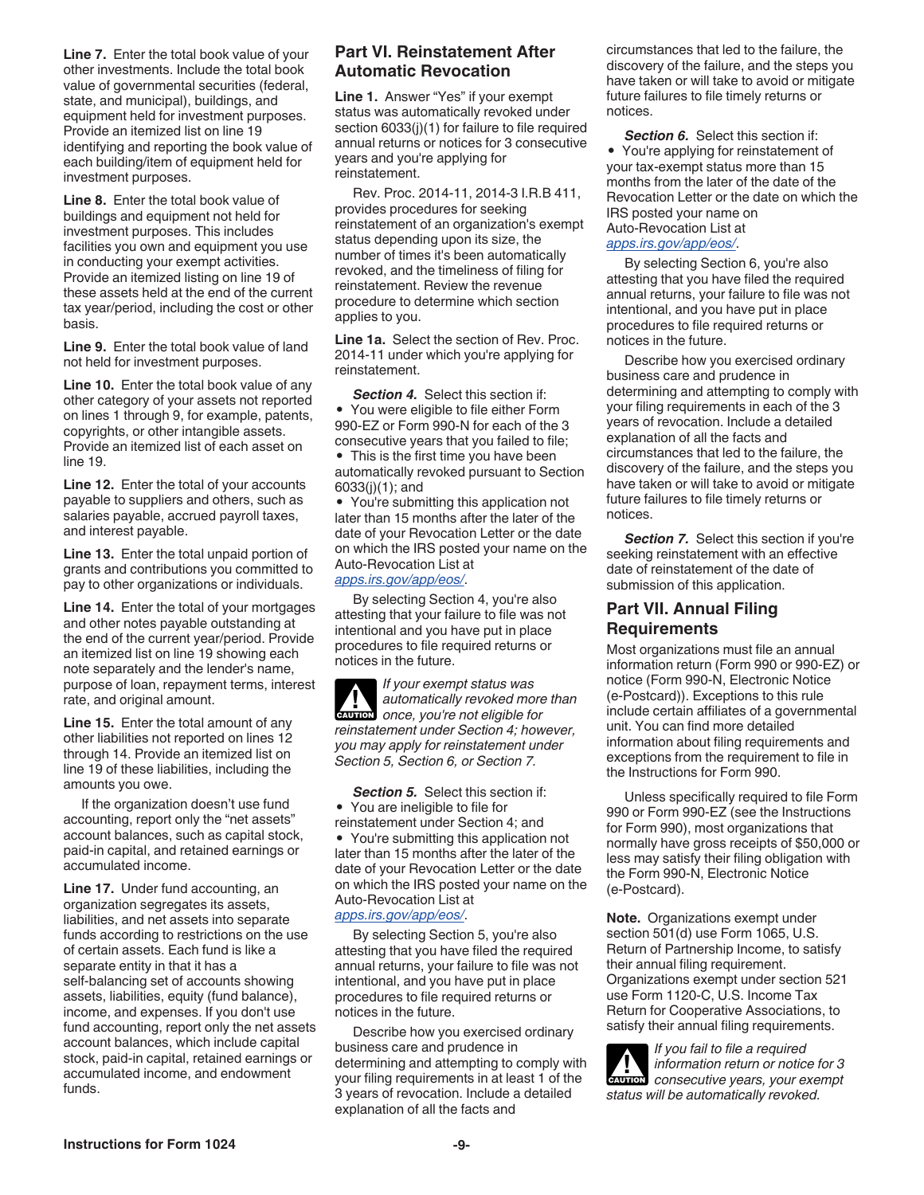**Line 7.** Enter the total book value of your other investments. Include the total book value of governmental securities (federal, state, and municipal), buildings, and equipment held for investment purposes. Provide an itemized list on line 19 identifying and reporting the book value of each building/item of equipment held for investment purposes.

**Line 8.** Enter the total book value of buildings and equipment not held for investment purposes. This includes facilities you own and equipment you use in conducting your exempt activities. Provide an itemized listing on line 19 of these assets held at the end of the current tax year/period, including the cost or other basis.

**Line 9.** Enter the total book value of land not held for investment purposes.

**Line 10.** Enter the total book value of any other category of your assets not reported on lines 1 through 9, for example, patents, copyrights, or other intangible assets. Provide an itemized list of each asset on line 19.

**Line 12.** Enter the total of your accounts payable to suppliers and others, such as salaries payable, accrued payroll taxes, and interest payable.

**Line 13.** Enter the total unpaid portion of grants and contributions you committed to pay to other organizations or individuals.

**Line 14.** Enter the total of your mortgages and other notes payable outstanding at the end of the current year/period. Provide an itemized list on line 19 showing each note separately and the lender's name, purpose of loan, repayment terms, interest rate, and original amount.

**Line 15.** Enter the total amount of any other liabilities not reported on lines 12 through 14. Provide an itemized list on line 19 of these liabilities, including the amounts you owe.

If the organization doesn't use fund accounting, report only the "net assets" account balances, such as capital stock, paid-in capital, and retained earnings or accumulated income.

**Line 17.** Under fund accounting, an organization segregates its assets, liabilities, and net assets into separate funds according to restrictions on the use of certain assets. Each fund is like a separate entity in that it has a self-balancing set of accounts showing assets, liabilities, equity (fund balance), income, and expenses. If you don't use fund accounting, report only the net assets account balances, which include capital stock, paid-in capital, retained earnings or accumulated income, and endowment funds.

### **Part VI. Reinstatement After Automatic Revocation**

**Line 1.** Answer "Yes" if your exempt status was automatically revoked under section 6033(i)(1) for failure to file required annual returns or notices for 3 consecutive years and you're applying for reinstatement.

Rev. Proc. 2014-11, 2014-3 I.R.B 411, provides procedures for seeking reinstatement of an organization's exempt status depending upon its size, the number of times it's been automatically revoked, and the timeliness of filing for reinstatement. Review the revenue procedure to determine which section applies to you.

**Line 1a.** Select the section of Rev. Proc. 2014-11 under which you're applying for reinstatement.

**Section 4.** Select this section if: • You were eligible to file either Form 990-EZ or Form 990-N for each of the 3 consecutive years that you failed to file; • This is the first time you have been automatically revoked pursuant to Section 6033(j)(1); and

• You're submitting this application not later than 15 months after the later of the date of your Revocation Letter or the date on which the IRS posted your name on the Auto-Revocation List at *[apps.irs.gov/app/eos/](https://apps.irs.gov/app/eos/)*.

By selecting Section 4, you're also attesting that your failure to file was not intentional and you have put in place procedures to file required returns or notices in the future.

*If your exempt status was automatically revoked more than*  **automatically revoked more**<br>
once, you're not eligible for *reinstatement under Section 4; however, you may apply for reinstatement under Section 5, Section 6, or Section 7.*

**Section 5.** Select this section if: • You are ineligible to file for reinstatement under Section 4; and • You're submitting this application not later than 15 months after the later of the date of your Revocation Letter or the date on which the IRS posted your name on the Auto-Revocation List at *[apps.irs.gov/app/eos/](https://apps.irs.gov/app/eos/)*.

By selecting Section 5, you're also attesting that you have filed the required annual returns, your failure to file was not intentional, and you have put in place procedures to file required returns or notices in the future.

Describe how you exercised ordinary business care and prudence in determining and attempting to comply with your filing requirements in at least 1 of the 3 years of revocation. Include a detailed explanation of all the facts and

circumstances that led to the failure, the discovery of the failure, and the steps you have taken or will take to avoid or mitigate future failures to file timely returns or notices.

**Section 6.** Select this section if: • You're applying for reinstatement of your tax-exempt status more than 15 months from the later of the date of the Revocation Letter or the date on which the IRS posted your name on Auto-Revocation List at

*[apps.irs.gov/app/eos/](https://apps.irs.gov/app/eos/)*.

By selecting Section 6, you're also attesting that you have filed the required annual returns, your failure to file was not intentional, and you have put in place procedures to file required returns or notices in the future.

Describe how you exercised ordinary business care and prudence in determining and attempting to comply with your filing requirements in each of the 3 years of revocation. Include a detailed explanation of all the facts and circumstances that led to the failure, the discovery of the failure, and the steps you have taken or will take to avoid or mitigate future failures to file timely returns or notices.

**Section 7.** Select this section if you're seeking reinstatement with an effective date of reinstatement of the date of submission of this application.

# **Part VII. Annual Filing Requirements**

Most organizations must file an annual information return (Form 990 or 990-EZ) or notice (Form 990-N, Electronic Notice (e-Postcard)). Exceptions to this rule include certain affiliates of a governmental unit. You can find more detailed information about filing requirements and exceptions from the requirement to file in the Instructions for Form 990.

Unless specifically required to file Form 990 or Form 990-EZ (see the Instructions for Form 990), most organizations that normally have gross receipts of \$50,000 or less may satisfy their filing obligation with the Form 990-N, Electronic Notice (e-Postcard).

**Note.** Organizations exempt under section 501(d) use Form 1065, U.S. Return of Partnership Income, to satisfy their annual filing requirement. Organizations exempt under section 521 use Form 1120-C, U.S. Income Tax Return for Cooperative Associations, to satisfy their annual filing requirements.

*If you fail to file a required information return or notice for 3*  **Property information return or notice for 3**<br> **CONSECUTIVE YEARS, your exempt** *status will be automatically revoked.*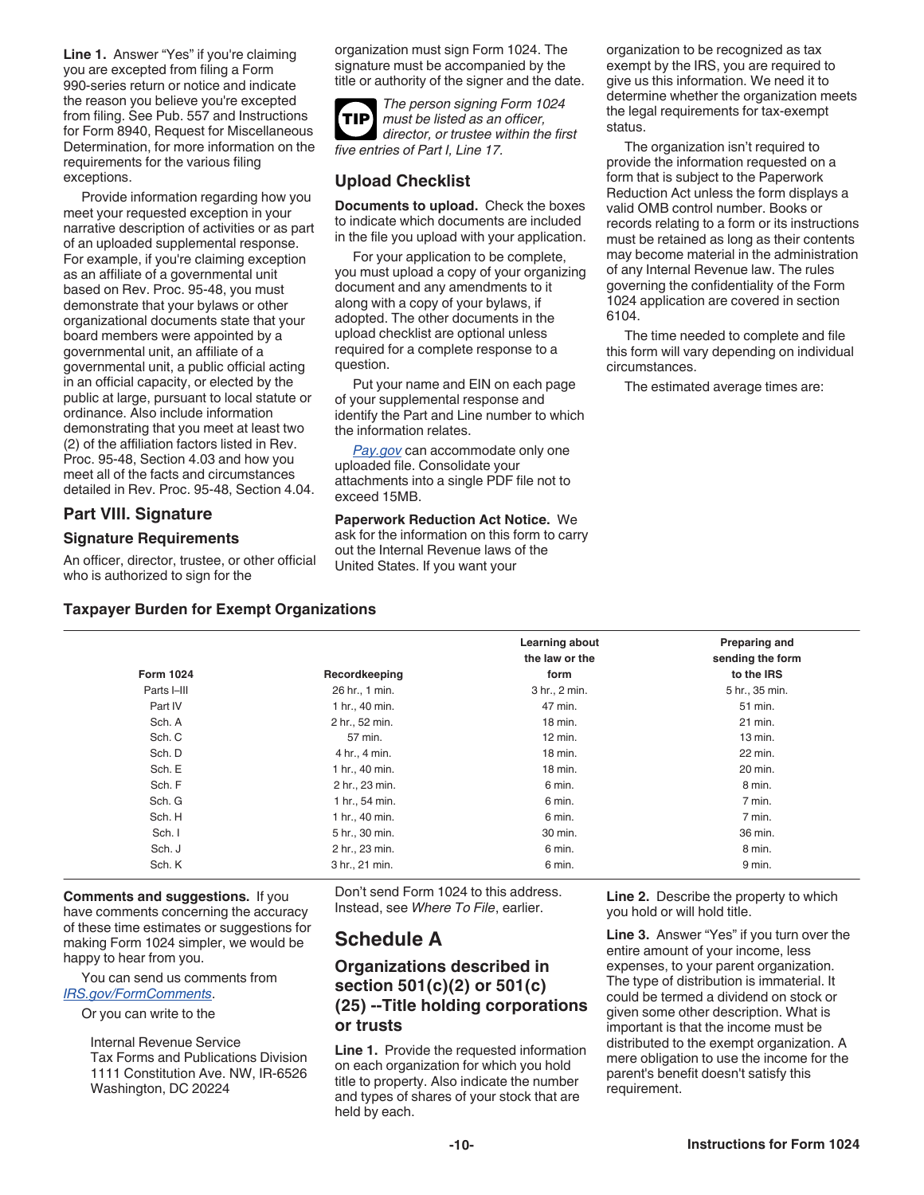Line 1. Answer "Yes" if you're claiming you are excepted from filing a Form 990-series return or notice and indicate the reason you believe you're excepted from filing. See Pub. 557 and Instructions for Form 8940, Request for Miscellaneous Determination, for more information on the requirements for the various filing exceptions.

Provide information regarding how you meet your requested exception in your narrative description of activities or as part of an uploaded supplemental response. For example, if you're claiming exception as an affiliate of a governmental unit based on Rev. Proc. 95-48, you must demonstrate that your bylaws or other organizational documents state that your board members were appointed by a governmental unit, an affiliate of a governmental unit, a public official acting in an official capacity, or elected by the public at large, pursuant to local statute or ordinance. Also include information demonstrating that you meet at least two (2) of the affiliation factors listed in Rev. Proc. 95-48, Section 4.03 and how you meet all of the facts and circumstances detailed in Rev. Proc. 95-48, Section 4.04.

### **Part VIII. Signature**

#### **Signature Requirements**

An officer, director, trustee, or other official who is authorized to sign for the

organization must sign Form 1024. The signature must be accompanied by the title or authority of the signer and the date.



*The person signing Form 1024 must be listed as an officer, director, or trustee within the first five entries of Part I, Line 17.*

# **Upload Checklist**

**Documents to upload.** Check the boxes to indicate which documents are included in the file you upload with your application.

For your application to be complete, you must upload a copy of your organizing document and any amendments to it along with a copy of your bylaws, if adopted. The other documents in the upload checklist are optional unless required for a complete response to a question.

Put your name and EIN on each page of your supplemental response and identify the Part and Line number to which the information relates.

*[Pay.gov](https://www.eftps.gov/eftps/)* can accommodate only one uploaded file. Consolidate your attachments into a single PDF file not to exceed 15MB.

**Paperwork Reduction Act Notice.** We ask for the information on this form to carry out the Internal Revenue laws of the United States. If you want your

organization to be recognized as tax exempt by the IRS, you are required to give us this information. We need it to determine whether the organization meets the legal requirements for tax-exempt status.

The organization isn't required to provide the information requested on a form that is subject to the Paperwork Reduction Act unless the form displays a valid OMB control number. Books or records relating to a form or its instructions must be retained as long as their contents may become material in the administration of any Internal Revenue law. The rules governing the confidentiality of the Form 1024 application are covered in section 6104.

The time needed to complete and file this form will vary depending on individual circumstances.

The estimated average times are:

### **Taxpayer Burden for Exempt Organizations**

|                  |                | Learning about<br>the law or the | Preparing and<br>sending the form |
|------------------|----------------|----------------------------------|-----------------------------------|
| <b>Form 1024</b> | Recordkeeping  | form                             | to the IRS                        |
| Parts I-III      | 26 hr., 1 min. | 3 hr., 2 min.                    | 5 hr., 35 min.                    |
| Part IV          | 1 hr., 40 min. | 47 min.                          | 51 min.                           |
| Sch. A           | 2 hr., 52 min. | 18 min.                          | 21 min.                           |
| Sch. C           | 57 min.        | $12$ min.                        | 13 min.                           |
| Sch. D           | 4 hr., 4 min.  | 18 min.                          | 22 min.                           |
| Sch. E           | 1 hr., 40 min. | 18 min.                          | 20 min.                           |
| Sch. F           | 2 hr., 23 min. | 6 min.                           | 8 min.                            |
| Sch. G           | 1 hr., 54 min. | 6 min.                           | 7 min.                            |
| Sch. H           | 1 hr., 40 min. | 6 min.                           | 7 min.                            |
| Sch. I           | 5 hr., 30 min. | 30 min.                          | 36 min.                           |
| Sch. J           | 2 hr., 23 min. | 6 min.                           | 8 min.                            |
| Sch. K           | 3 hr., 21 min. | 6 min.                           | 9 min.                            |

**Comments and suggestions.** If you have comments concerning the accuracy of these time estimates or suggestions for making Form 1024 simpler, we would be happy to hear from you.

You can send us comments from *[IRS.gov/FormComments](https://www.irs.gov/FormComments)*.

Or you can write to the

Internal Revenue Service Tax Forms and Publications Division 1111 Constitution Ave. NW, IR-6526 Washington, DC 20224

Don't send Form 1024 to this address. Instead, see *Where To File*, earlier.

# **Schedule A**

# **Organizations described in section 501(c)(2) or 501(c) (25) --Title holding corporations or trusts**

**Line 1.** Provide the requested information on each organization for which you hold title to property. Also indicate the number and types of shares of your stock that are held by each.

**Line 2.** Describe the property to which you hold or will hold title.

**Line 3.** Answer "Yes" if you turn over the entire amount of your income, less expenses, to your parent organization. The type of distribution is immaterial. It could be termed a dividend on stock or given some other description. What is important is that the income must be distributed to the exempt organization. A mere obligation to use the income for the parent's benefit doesn't satisfy this requirement.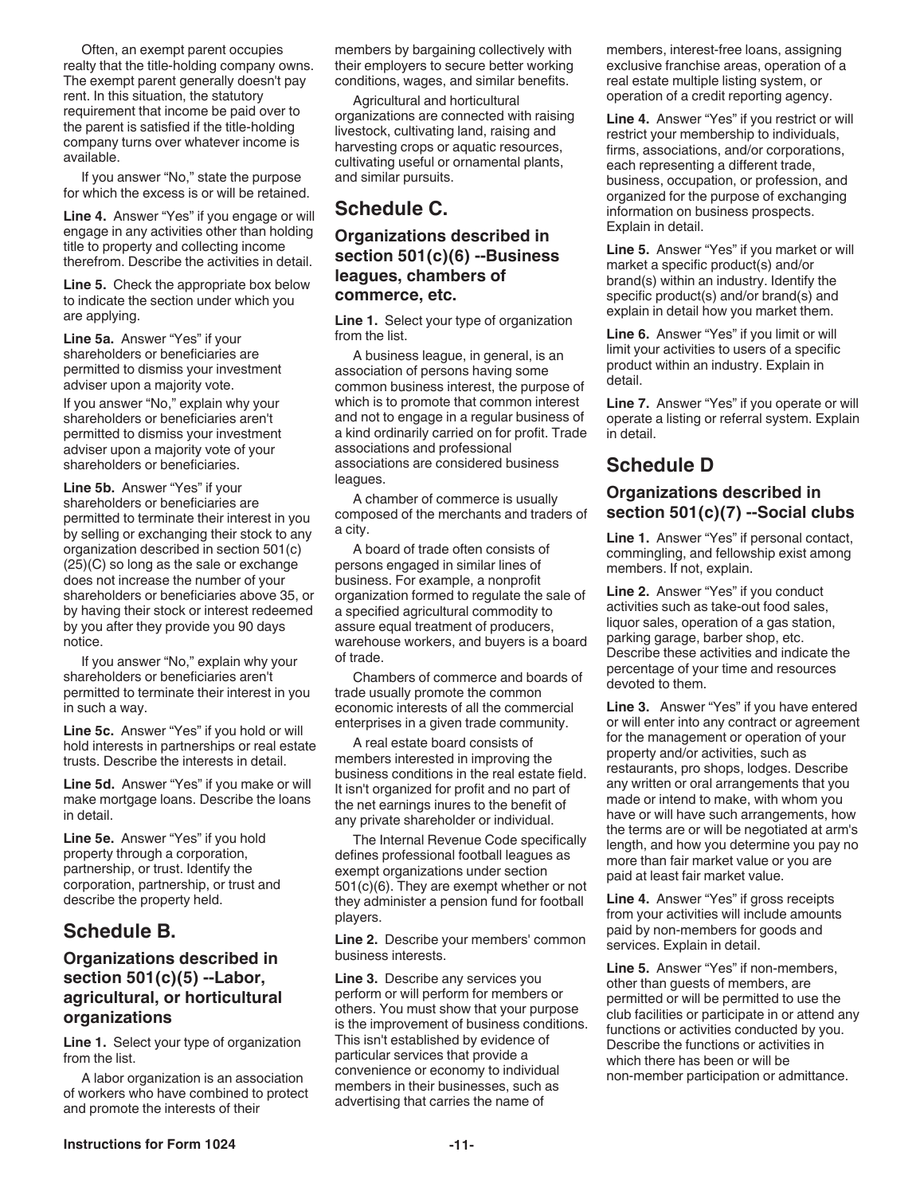Often, an exempt parent occupies realty that the title-holding company owns. The exempt parent generally doesn't pay rent. In this situation, the statutory requirement that income be paid over to the parent is satisfied if the title-holding company turns over whatever income is available.

If you answer "No," state the purpose for which the excess is or will be retained.

**Line 4.** Answer "Yes" if you engage or will engage in any activities other than holding title to property and collecting income therefrom. Describe the activities in detail.

**Line 5.** Check the appropriate box below to indicate the section under which you are applying.

**Line 5a.** Answer "Yes" if your shareholders or beneficiaries are permitted to dismiss your investment adviser upon a majority vote.

If you answer "No," explain why your shareholders or beneficiaries aren't permitted to dismiss your investment adviser upon a majority vote of your shareholders or beneficiaries.

**Line 5b.** Answer "Yes" if your shareholders or beneficiaries are permitted to terminate their interest in you by selling or exchanging their stock to any organization described in section 501(c) (25)(C) so long as the sale or exchange does not increase the number of your shareholders or beneficiaries above 35, or by having their stock or interest redeemed by you after they provide you 90 days notice.

If you answer "No," explain why your shareholders or beneficiaries aren't permitted to terminate their interest in you in such a way.

**Line 5c.** Answer "Yes" if you hold or will hold interests in partnerships or real estate trusts. Describe the interests in detail.

**Line 5d.** Answer "Yes" if you make or will make mortgage loans. Describe the loans in detail.

**Line 5e.** Answer "Yes" if you hold property through a corporation, partnership, or trust. Identify the corporation, partnership, or trust and describe the property held.

# **Schedule B.**

# **Organizations described in section 501(c)(5) --Labor, agricultural, or horticultural organizations**

**Line 1.** Select your type of organization from the list.

A labor organization is an association of workers who have combined to protect and promote the interests of their

members by bargaining collectively with their employers to secure better working conditions, wages, and similar benefits.

Agricultural and horticultural organizations are connected with raising livestock, cultivating land, raising and harvesting crops or aquatic resources, cultivating useful or ornamental plants, and similar pursuits.

# **Schedule C.**

## **Organizations described in section 501(c)(6) --Business leagues, chambers of commerce, etc.**

**Line 1.** Select your type of organization from the list.

A business league, in general, is an association of persons having some common business interest, the purpose of which is to promote that common interest and not to engage in a regular business of a kind ordinarily carried on for profit. Trade associations and professional associations are considered business leagues.

A chamber of commerce is usually composed of the merchants and traders of a city.

A board of trade often consists of persons engaged in similar lines of business. For example, a nonprofit organization formed to regulate the sale of a specified agricultural commodity to assure equal treatment of producers, warehouse workers, and buyers is a board of trade.

Chambers of commerce and boards of trade usually promote the common economic interests of all the commercial enterprises in a given trade community.

A real estate board consists of members interested in improving the business conditions in the real estate field. It isn't organized for profit and no part of the net earnings inures to the benefit of any private shareholder or individual.

The Internal Revenue Code specifically defines professional football leagues as exempt organizations under section 501(c)(6). They are exempt whether or not they administer a pension fund for football players.

**Line 2.** Describe your members' common business interests.

**Line 3.** Describe any services you perform or will perform for members or others. You must show that your purpose is the improvement of business conditions. This isn't established by evidence of particular services that provide a convenience or economy to individual members in their businesses, such as advertising that carries the name of

members, interest-free loans, assigning exclusive franchise areas, operation of a real estate multiple listing system, or operation of a credit reporting agency.

**Line 4.** Answer "Yes" if you restrict or will restrict your membership to individuals, firms, associations, and/or corporations, each representing a different trade, business, occupation, or profession, and organized for the purpose of exchanging information on business prospects. Explain in detail.

**Line 5.** Answer "Yes" if you market or will market a specific product(s) and/or brand(s) within an industry. Identify the specific product(s) and/or brand(s) and explain in detail how you market them.

**Line 6.** Answer "Yes" if you limit or will limit your activities to users of a specific product within an industry. Explain in detail.

**Line 7.** Answer "Yes" if you operate or will operate a listing or referral system. Explain in detail.

# **Schedule D**

### **Organizations described in section 501(c)(7) --Social clubs**

**Line 1.** Answer "Yes" if personal contact, commingling, and fellowship exist among members. If not, explain.

**Line 2.** Answer "Yes" if you conduct activities such as take-out food sales, liquor sales, operation of a gas station, parking garage, barber shop, etc. Describe these activities and indicate the percentage of your time and resources devoted to them.

**Line 3.** Answer "Yes" if you have entered or will enter into any contract or agreement for the management or operation of your property and/or activities, such as restaurants, pro shops, lodges. Describe any written or oral arrangements that you made or intend to make, with whom you have or will have such arrangements, how the terms are or will be negotiated at arm's length, and how you determine you pay no more than fair market value or you are paid at least fair market value.

**Line 4.** Answer "Yes" if gross receipts from your activities will include amounts paid by non-members for goods and services. Explain in detail.

**Line 5.** Answer "Yes" if non-members, other than guests of members, are permitted or will be permitted to use the club facilities or participate in or attend any functions or activities conducted by you. Describe the functions or activities in which there has been or will be non-member participation or admittance.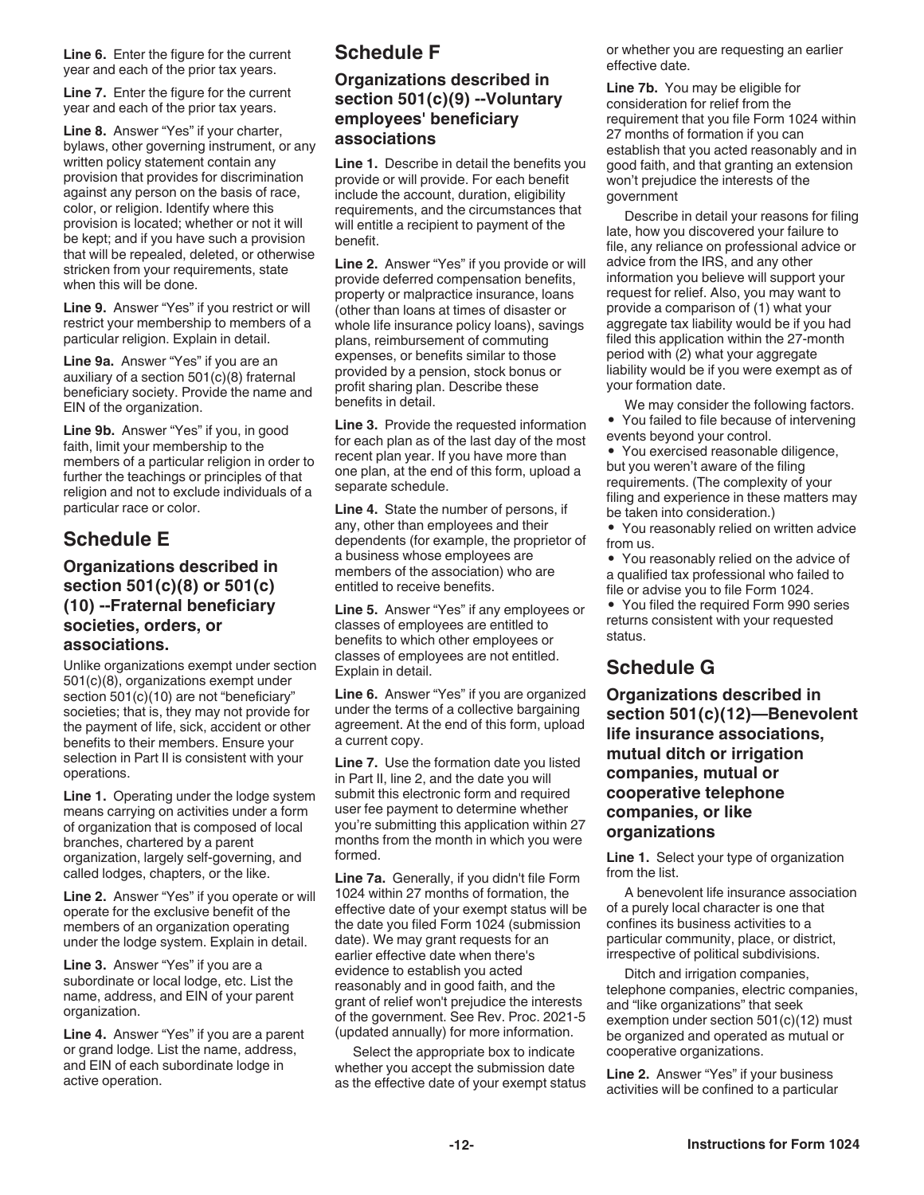**Line 6.** Enter the figure for the current year and each of the prior tax years.

**Line 7.** Enter the figure for the current year and each of the prior tax years.

**Line 8.** Answer "Yes" if your charter, bylaws, other governing instrument, or any written policy statement contain any provision that provides for discrimination against any person on the basis of race, color, or religion. Identify where this provision is located; whether or not it will be kept; and if you have such a provision that will be repealed, deleted, or otherwise stricken from your requirements, state when this will be done.

**Line 9.** Answer "Yes" if you restrict or will restrict your membership to members of a particular religion. Explain in detail.

**Line 9a.** Answer "Yes" if you are an auxiliary of a section 501(c)(8) fraternal beneficiary society. Provide the name and EIN of the organization.

**Line 9b.** Answer "Yes" if you, in good faith, limit your membership to the members of a particular religion in order to further the teachings or principles of that religion and not to exclude individuals of a particular race or color.

# **Schedule E**

### **Organizations described in section 501(c)(8) or 501(c) (10) --Fraternal beneficiary societies, orders, or associations.**

Unlike organizations exempt under section 501(c)(8), organizations exempt under section 501(c)(10) are not "beneficiary" societies; that is, they may not provide for the payment of life, sick, accident or other benefits to their members. Ensure your selection in Part II is consistent with your operations.

**Line 1.** Operating under the lodge system means carrying on activities under a form of organization that is composed of local branches, chartered by a parent organization, largely self-governing, and called lodges, chapters, or the like.

**Line 2.** Answer "Yes" if you operate or will operate for the exclusive benefit of the members of an organization operating under the lodge system. Explain in detail.

**Line 3.** Answer "Yes" if you are a subordinate or local lodge, etc. List the name, address, and EIN of your parent organization.

**Line 4.** Answer "Yes" if you are a parent or grand lodge. List the name, address, and EIN of each subordinate lodge in active operation.

# **Schedule F**

# **Organizations described in section 501(c)(9) --Voluntary employees' beneficiary associations**

**Line 1.** Describe in detail the benefits you provide or will provide. For each benefit include the account, duration, eligibility requirements, and the circumstances that will entitle a recipient to payment of the benefit.

**Line 2.** Answer "Yes" if you provide or will provide deferred compensation benefits, property or malpractice insurance, loans (other than loans at times of disaster or whole life insurance policy loans), savings plans, reimbursement of commuting expenses, or benefits similar to those provided by a pension, stock bonus or profit sharing plan. Describe these benefits in detail.

**Line 3.** Provide the requested information for each plan as of the last day of the most recent plan year. If you have more than one plan, at the end of this form, upload a separate schedule.

**Line 4.** State the number of persons, if any, other than employees and their dependents (for example, the proprietor of a business whose employees are members of the association) who are entitled to receive benefits.

**Line 5.** Answer "Yes" if any employees or classes of employees are entitled to benefits to which other employees or classes of employees are not entitled. Explain in detail.

**Line 6.** Answer "Yes" if you are organized under the terms of a collective bargaining agreement. At the end of this form, upload a current copy.

**Line 7.** Use the formation date you listed in Part II, line 2, and the date you will submit this electronic form and required user fee payment to determine whether you're submitting this application within 27 months from the month in which you were formed.

**Line 7a.** Generally, if you didn't file Form 1024 within 27 months of formation, the effective date of your exempt status will be the date you filed Form 1024 (submission date). We may grant requests for an earlier effective date when there's evidence to establish you acted reasonably and in good faith, and the grant of relief won't prejudice the interests of the government. See Rev. Proc. 2021-5 (updated annually) for more information.

Select the appropriate box to indicate whether you accept the submission date as the effective date of your exempt status or whether you are requesting an earlier effective date.

**Line 7b.** You may be eligible for consideration for relief from the requirement that you file Form 1024 within 27 months of formation if you can establish that you acted reasonably and in good faith, and that granting an extension won't prejudice the interests of the government

Describe in detail your reasons for filing late, how you discovered your failure to file, any reliance on professional advice or advice from the IRS, and any other information you believe will support your request for relief. Also, you may want to provide a comparison of (1) what your aggregate tax liability would be if you had filed this application within the 27-month period with (2) what your aggregate liability would be if you were exempt as of your formation date.

We may consider the following factors. • You failed to file because of intervening events beyond your control.

• You exercised reasonable diligence, but you weren't aware of the filing requirements. (The complexity of your filing and experience in these matters may be taken into consideration.)

• You reasonably relied on written advice from us.

• You reasonably relied on the advice of a qualified tax professional who failed to file or advise you to file Form 1024.

• You filed the required Form 990 series returns consistent with your requested status.

# **Schedule G**

**Organizations described in section 501(c)(12)—Benevolent life insurance associations, mutual ditch or irrigation companies, mutual or cooperative telephone companies, or like organizations**

**Line 1.** Select your type of organization from the list.

A benevolent life insurance association of a purely local character is one that confines its business activities to a particular community, place, or district, irrespective of political subdivisions.

Ditch and irrigation companies, telephone companies, electric companies, and "like organizations" that seek exemption under section 501(c)(12) must be organized and operated as mutual or cooperative organizations.

**Line 2.** Answer "Yes" if your business activities will be confined to a particular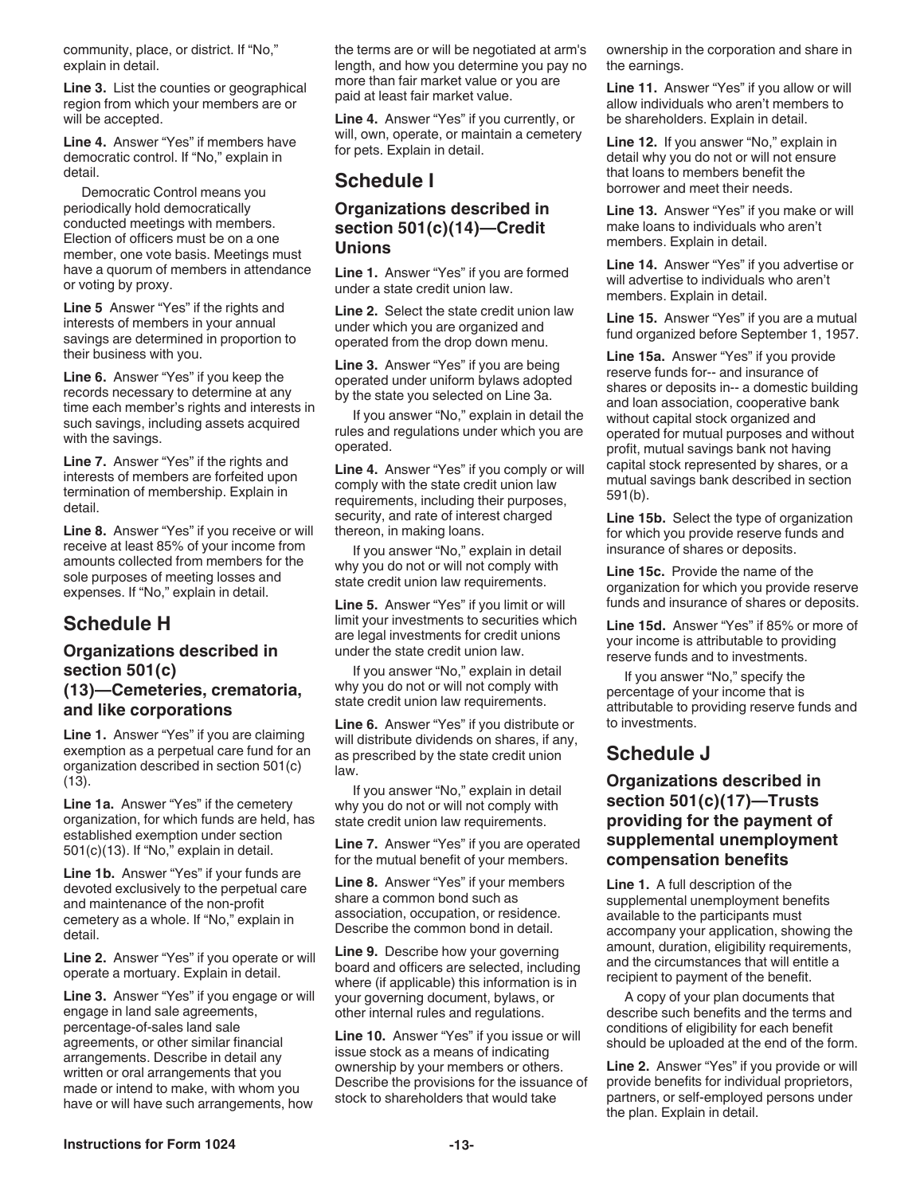community, place, or district. If "No," explain in detail.

**Line 3.** List the counties or geographical region from which your members are or will be accepted.

**Line 4.** Answer "Yes" if members have democratic control. If "No," explain in detail.

Democratic Control means you periodically hold democratically conducted meetings with members. Election of officers must be on a one member, one vote basis. Meetings must have a quorum of members in attendance or voting by proxy.

**Line 5** Answer "Yes" if the rights and interests of members in your annual savings are determined in proportion to their business with you.

**Line 6.** Answer "Yes" if you keep the records necessary to determine at any time each member's rights and interests in such savings, including assets acquired with the savings.

**Line 7.** Answer "Yes" if the rights and interests of members are forfeited upon termination of membership. Explain in detail.

**Line 8.** Answer "Yes" if you receive or will receive at least 85% of your income from amounts collected from members for the sole purposes of meeting losses and expenses. If "No," explain in detail.

# **Schedule H**

### **Organizations described in section 501(c) (13)—Cemeteries, crematoria, and like corporations**

**Line 1.** Answer "Yes" if you are claiming exemption as a perpetual care fund for an organization described in section 501(c) (13).

**Line 1a.** Answer "Yes" if the cemetery organization, for which funds are held, has established exemption under section 501(c)(13). If "No," explain in detail.

**Line 1b.** Answer "Yes" if your funds are devoted exclusively to the perpetual care and maintenance of the non-profit cemetery as a whole. If "No," explain in detail.

**Line 2.** Answer "Yes" if you operate or will operate a mortuary. Explain in detail.

**Line 3.** Answer "Yes" if you engage or will engage in land sale agreements, percentage-of-sales land sale agreements, or other similar financial arrangements. Describe in detail any written or oral arrangements that you made or intend to make, with whom you have or will have such arrangements, how

the terms are or will be negotiated at arm's length, and how you determine you pay no more than fair market value or you are paid at least fair market value.

**Line 4.** Answer "Yes" if you currently, or will, own, operate, or maintain a cemetery for pets. Explain in detail.

# **Schedule I**

# **Organizations described in section 501(c)(14)—Credit Unions**

**Line 1.** Answer "Yes" if you are formed under a state credit union law.

**Line 2.** Select the state credit union law under which you are organized and operated from the drop down menu.

**Line 3.** Answer "Yes" if you are being operated under uniform bylaws adopted by the state you selected on Line 3a.

If you answer "No," explain in detail the rules and regulations under which you are operated.

**Line 4.** Answer "Yes" if you comply or will comply with the state credit union law requirements, including their purposes, security, and rate of interest charged thereon, in making loans.

If you answer "No," explain in detail why you do not or will not comply with state credit union law requirements.

**Line 5.** Answer "Yes" if you limit or will limit your investments to securities which are legal investments for credit unions under the state credit union law.

If you answer "No," explain in detail why you do not or will not comply with state credit union law requirements.

**Line 6.** Answer "Yes" if you distribute or will distribute dividends on shares, if any, as prescribed by the state credit union law.

If you answer "No," explain in detail why you do not or will not comply with state credit union law requirements.

**Line 7.** Answer "Yes" if you are operated for the mutual benefit of your members.

**Line 8.** Answer "Yes" if your members share a common bond such as association, occupation, or residence. Describe the common bond in detail.

**Line 9.** Describe how your governing board and officers are selected, including where (if applicable) this information is in your governing document, bylaws, or other internal rules and regulations.

**Line 10.** Answer "Yes" if you issue or will issue stock as a means of indicating ownership by your members or others. Describe the provisions for the issuance of stock to shareholders that would take

ownership in the corporation and share in the earnings.

**Line 11.** Answer "Yes" if you allow or will allow individuals who aren't members to be shareholders. Explain in detail.

**Line 12.** If you answer "No," explain in detail why you do not or will not ensure that loans to members benefit the borrower and meet their needs.

**Line 13.** Answer "Yes" if you make or will make loans to individuals who aren't members. Explain in detail.

**Line 14.** Answer "Yes" if you advertise or will advertise to individuals who aren't members. Explain in detail.

**Line 15.** Answer "Yes" if you are a mutual fund organized before September 1, 1957.

**Line 15a.** Answer "Yes" if you provide reserve funds for-- and insurance of shares or deposits in-- a domestic building and loan association, cooperative bank without capital stock organized and operated for mutual purposes and without profit, mutual savings bank not having capital stock represented by shares, or a mutual savings bank described in section 591(b).

**Line 15b.** Select the type of organization for which you provide reserve funds and insurance of shares or deposits.

**Line 15c.** Provide the name of the organization for which you provide reserve funds and insurance of shares or deposits.

**Line 15d.** Answer "Yes" if 85% or more of your income is attributable to providing reserve funds and to investments.

If you answer "No," specify the percentage of your income that is attributable to providing reserve funds and to investments.

# **Schedule J**

# **Organizations described in section 501(c)(17)—Trusts providing for the payment of supplemental unemployment compensation benefits**

**Line 1.** A full description of the supplemental unemployment benefits available to the participants must accompany your application, showing the amount, duration, eligibility requirements, and the circumstances that will entitle a recipient to payment of the benefit.

A copy of your plan documents that describe such benefits and the terms and conditions of eligibility for each benefit should be uploaded at the end of the form.

**Line 2.** Answer "Yes" if you provide or will provide benefits for individual proprietors, partners, or self-employed persons under the plan. Explain in detail.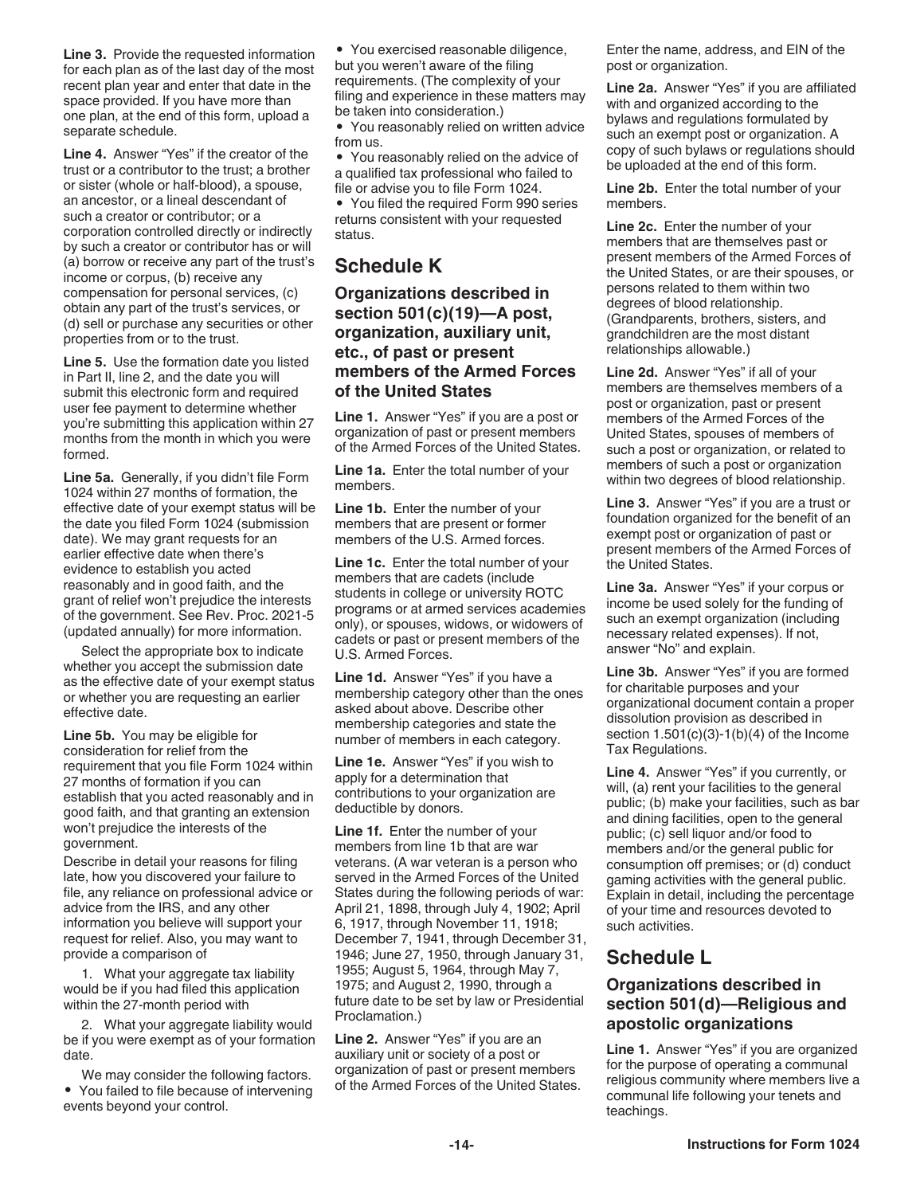**Line 3.** Provide the requested information for each plan as of the last day of the most recent plan year and enter that date in the space provided. If you have more than one plan, at the end of this form, upload a separate schedule.

**Line 4.** Answer "Yes" if the creator of the trust or a contributor to the trust; a brother or sister (whole or half-blood), a spouse, an ancestor, or a lineal descendant of such a creator or contributor; or a corporation controlled directly or indirectly by such a creator or contributor has or will (a) borrow or receive any part of the trust's income or corpus, (b) receive any compensation for personal services, (c) obtain any part of the trust's services, or (d) sell or purchase any securities or other properties from or to the trust.

**Line 5.** Use the formation date you listed in Part II, line 2, and the date you will submit this electronic form and required user fee payment to determine whether you're submitting this application within 27 months from the month in which you were formed.

**Line 5a.** Generally, if you didn't file Form 1024 within 27 months of formation, the effective date of your exempt status will be the date you filed Form 1024 (submission date). We may grant requests for an earlier effective date when there's evidence to establish you acted reasonably and in good faith, and the grant of relief won't prejudice the interests of the government. See Rev. Proc. 2021-5 (updated annually) for more information.

Select the appropriate box to indicate whether you accept the submission date as the effective date of your exempt status or whether you are requesting an earlier effective date.

**Line 5b.** You may be eligible for consideration for relief from the requirement that you file Form 1024 within 27 months of formation if you can establish that you acted reasonably and in good faith, and that granting an extension won't prejudice the interests of the government.

Describe in detail your reasons for filing late, how you discovered your failure to file, any reliance on professional advice or advice from the IRS, and any other information you believe will support your request for relief. Also, you may want to provide a comparison of

1. What your aggregate tax liability would be if you had filed this application within the 27-month period with

2. What your aggregate liability would be if you were exempt as of your formation date.

We may consider the following factors. • You failed to file because of intervening events beyond your control.

• You exercised reasonable diligence, but you weren't aware of the filing requirements. (The complexity of your filing and experience in these matters may be taken into consideration.)

• You reasonably relied on written advice from us.

• You reasonably relied on the advice of a qualified tax professional who failed to file or advise you to file Form 1024.

• You filed the required Form 990 series returns consistent with your requested status.

# **Schedule K**

### **Organizations described in section 501(c)(19)—A post, organization, auxiliary unit, etc., of past or present members of the Armed Forces of the United States**

**Line 1.** Answer "Yes" if you are a post or organization of past or present members of the Armed Forces of the United States.

**Line 1a.** Enter the total number of your members.

**Line 1b.** Enter the number of your members that are present or former members of the U.S. Armed forces.

**Line 1c.** Enter the total number of your members that are cadets (include students in college or university ROTC programs or at armed services academies only), or spouses, widows, or widowers of cadets or past or present members of the U.S. Armed Forces.

**Line 1d.** Answer "Yes" if you have a membership category other than the ones asked about above. Describe other membership categories and state the number of members in each category.

**Line 1e.** Answer "Yes" if you wish to apply for a determination that contributions to your organization are deductible by donors.

**Line 1f.** Enter the number of your members from line 1b that are war veterans. (A war veteran is a person who served in the Armed Forces of the United States during the following periods of war: April 21, 1898, through July 4, 1902; April 6, 1917, through November 11, 1918; December 7, 1941, through December 31, 1946; June 27, 1950, through January 31, 1955; August 5, 1964, through May 7, 1975; and August 2, 1990, through a future date to be set by law or Presidential Proclamation.)

**Line 2.** Answer "Yes" if you are an auxiliary unit or society of a post or organization of past or present members of the Armed Forces of the United States. Enter the name, address, and EIN of the post or organization.

**Line 2a.** Answer "Yes" if you are affiliated with and organized according to the bylaws and regulations formulated by such an exempt post or organization. A copy of such bylaws or regulations should be uploaded at the end of this form.

**Line 2b.** Enter the total number of your members.

**Line 2c.** Enter the number of your members that are themselves past or present members of the Armed Forces of the United States, or are their spouses, or persons related to them within two degrees of blood relationship. (Grandparents, brothers, sisters, and grandchildren are the most distant relationships allowable.)

**Line 2d.** Answer "Yes" if all of your members are themselves members of a post or organization, past or present members of the Armed Forces of the United States, spouses of members of such a post or organization, or related to members of such a post or organization within two degrees of blood relationship.

**Line 3.** Answer "Yes" if you are a trust or foundation organized for the benefit of an exempt post or organization of past or present members of the Armed Forces of the United States.

**Line 3a.** Answer "Yes" if your corpus or income be used solely for the funding of such an exempt organization (including necessary related expenses). If not, answer "No" and explain.

**Line 3b.** Answer "Yes" if you are formed for charitable purposes and your organizational document contain a proper dissolution provision as described in section  $1.501(c)(3)-1(b)(4)$  of the Income Tax Regulations.

**Line 4.** Answer "Yes" if you currently, or will, (a) rent your facilities to the general public; (b) make your facilities, such as bar and dining facilities, open to the general public; (c) sell liquor and/or food to members and/or the general public for consumption off premises; or (d) conduct gaming activities with the general public. Explain in detail, including the percentage of your time and resources devoted to such activities.

# **Schedule L**

# **Organizations described in section 501(d)—Religious and apostolic organizations**

**Line 1.** Answer "Yes" if you are organized for the purpose of operating a communal religious community where members live a communal life following your tenets and teachings.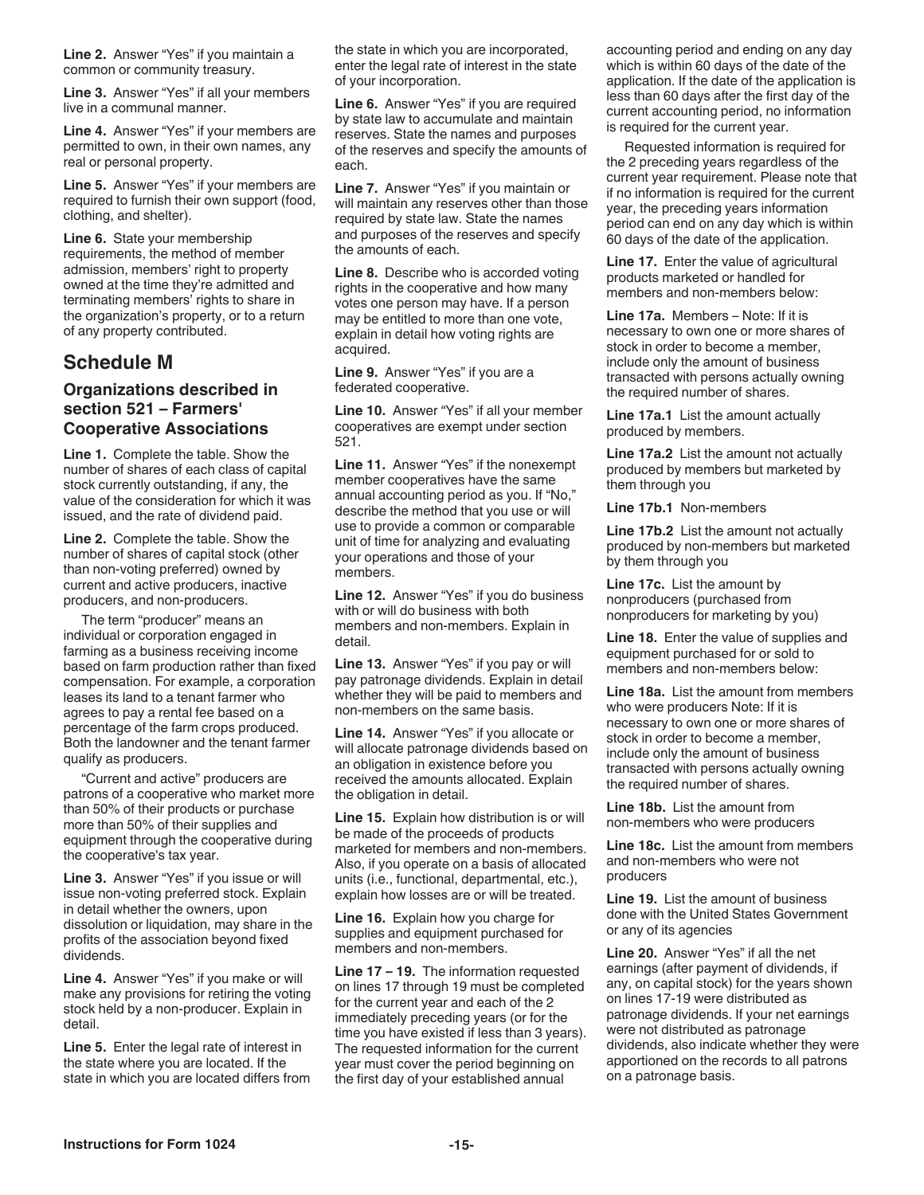**Line 2.** Answer "Yes" if you maintain a common or community treasury.

**Line 3.** Answer "Yes" if all your members live in a communal manner.

**Line 4.** Answer "Yes" if your members are permitted to own, in their own names, any real or personal property.

**Line 5.** Answer "Yes" if your members are required to furnish their own support (food, clothing, and shelter).

**Line 6.** State your membership requirements, the method of member admission, members' right to property owned at the time they're admitted and terminating members' rights to share in the organization's property, or to a return of any property contributed.

# **Schedule M**

### **Organizations described in section 521 – Farmers' Cooperative Associations**

**Line 1.** Complete the table. Show the number of shares of each class of capital stock currently outstanding, if any, the value of the consideration for which it was issued, and the rate of dividend paid.

**Line 2.** Complete the table. Show the number of shares of capital stock (other than non-voting preferred) owned by current and active producers, inactive producers, and non-producers.

The term "producer" means an individual or corporation engaged in farming as a business receiving income based on farm production rather than fixed compensation. For example, a corporation leases its land to a tenant farmer who agrees to pay a rental fee based on a percentage of the farm crops produced. Both the landowner and the tenant farmer qualify as producers.

"Current and active" producers are patrons of a cooperative who market more than 50% of their products or purchase more than 50% of their supplies and equipment through the cooperative during the cooperative's tax year.

**Line 3.** Answer "Yes" if you issue or will issue non-voting preferred stock. Explain in detail whether the owners, upon dissolution or liquidation, may share in the profits of the association beyond fixed dividends.

**Line 4.** Answer "Yes" if you make or will make any provisions for retiring the voting stock held by a non-producer. Explain in detail.

**Line 5.** Enter the legal rate of interest in the state where you are located. If the state in which you are located differs from the state in which you are incorporated, enter the legal rate of interest in the state of your incorporation.

**Line 6.** Answer "Yes" if you are required by state law to accumulate and maintain reserves. State the names and purposes of the reserves and specify the amounts of each.

**Line 7.** Answer "Yes" if you maintain or will maintain any reserves other than those required by state law. State the names and purposes of the reserves and specify the amounts of each.

**Line 8.** Describe who is accorded voting rights in the cooperative and how many votes one person may have. If a person may be entitled to more than one vote, explain in detail how voting rights are acquired.

**Line 9.** Answer "Yes" if you are a federated cooperative.

**Line 10.** Answer "Yes" if all your member cooperatives are exempt under section 521.

**Line 11.** Answer "Yes" if the nonexempt member cooperatives have the same annual accounting period as you. If "No," describe the method that you use or will use to provide a common or comparable unit of time for analyzing and evaluating your operations and those of your members.

**Line 12.** Answer "Yes" if you do business with or will do business with both members and non-members. Explain in detail.

**Line 13.** Answer "Yes" if you pay or will pay patronage dividends. Explain in detail whether they will be paid to members and non-members on the same basis.

**Line 14.** Answer "Yes" if you allocate or will allocate patronage dividends based on an obligation in existence before you received the amounts allocated. Explain the obligation in detail.

**Line 15.** Explain how distribution is or will be made of the proceeds of products marketed for members and non-members. Also, if you operate on a basis of allocated units (i.e., functional, departmental, etc.), explain how losses are or will be treated.

**Line 16.** Explain how you charge for supplies and equipment purchased for members and non-members.

**Line 17 – 19.** The information requested on lines 17 through 19 must be completed for the current year and each of the 2 immediately preceding years (or for the time you have existed if less than 3 years). The requested information for the current year must cover the period beginning on the first day of your established annual

accounting period and ending on any day which is within 60 days of the date of the application. If the date of the application is less than 60 days after the first day of the current accounting period, no information is required for the current year.

Requested information is required for the 2 preceding years regardless of the current year requirement. Please note that if no information is required for the current year, the preceding years information period can end on any day which is within 60 days of the date of the application.

**Line 17.** Enter the value of agricultural products marketed or handled for members and non-members below:

**Line 17a.** Members – Note: If it is necessary to own one or more shares of stock in order to become a member, include only the amount of business transacted with persons actually owning the required number of shares.

**Line 17a.1** List the amount actually produced by members.

**Line 17a.2** List the amount not actually produced by members but marketed by them through you

**Line 17b.1** Non-members

**Line 17b.2** List the amount not actually produced by non-members but marketed by them through you

**Line 17c.** List the amount by nonproducers (purchased from nonproducers for marketing by you)

**Line 18.** Enter the value of supplies and equipment purchased for or sold to members and non-members below:

**Line 18a.** List the amount from members who were producers Note: If it is necessary to own one or more shares of stock in order to become a member, include only the amount of business transacted with persons actually owning the required number of shares.

**Line 18b.** List the amount from non-members who were producers

**Line 18c.** List the amount from members and non-members who were not producers

**Line 19.** List the amount of business done with the United States Government or any of its agencies

**Line 20.** Answer "Yes" if all the net earnings (after payment of dividends, if any, on capital stock) for the years shown on lines 17-19 were distributed as patronage dividends. If your net earnings were not distributed as patronage dividends, also indicate whether they were apportioned on the records to all patrons on a patronage basis.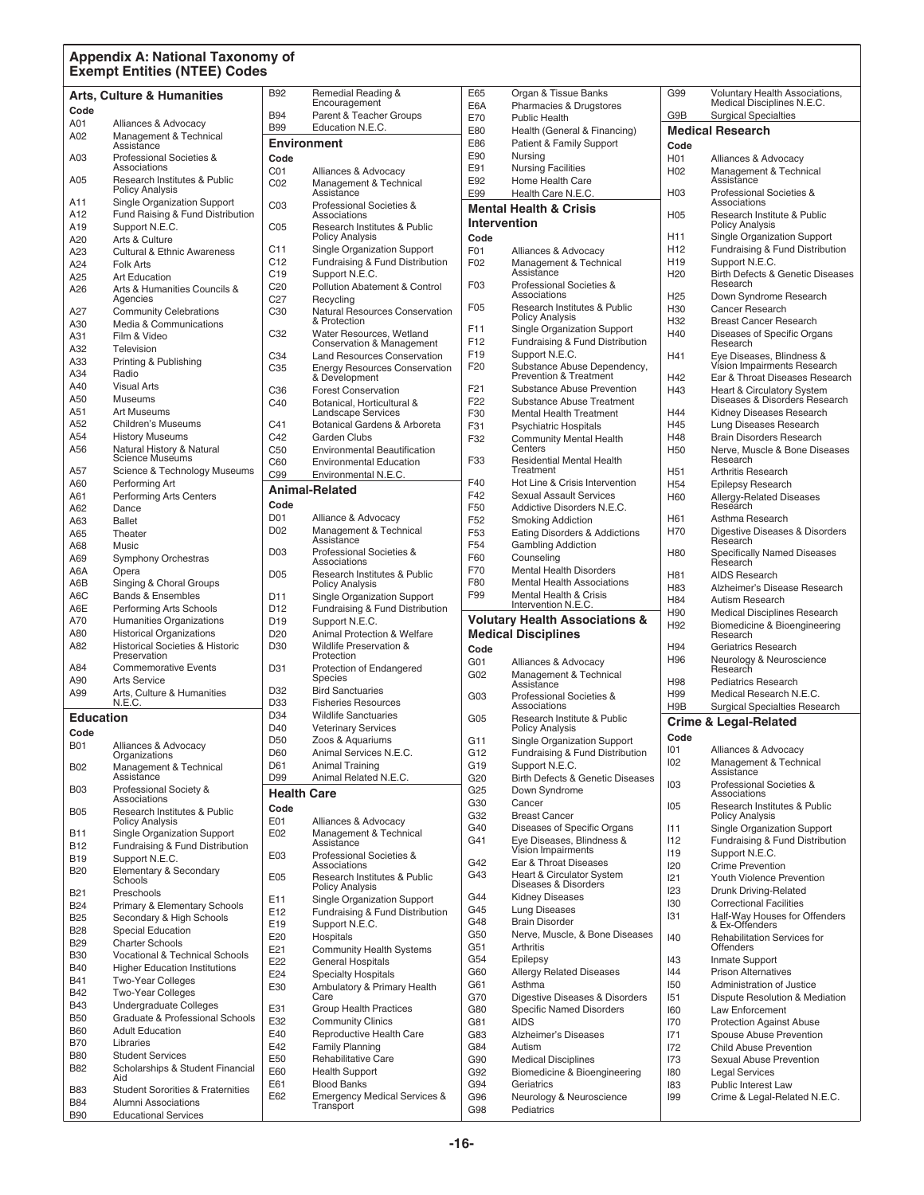#### **Appendix A: National Taxonomy of Exempt Entities (NTEE) Codes**

|                          |                                                            | <b>B92</b>             | Remedial Reading &                                    | E65                    | Organ & Tissue Banks                                                    | G99                                | <b>Voluntary Health Associations,</b>                     |
|--------------------------|------------------------------------------------------------|------------------------|-------------------------------------------------------|------------------------|-------------------------------------------------------------------------|------------------------------------|-----------------------------------------------------------|
|                          | <b>Arts, Culture &amp; Humanities</b>                      |                        | Encouragement                                         | E6A                    | Pharmacies & Drugstores                                                 |                                    | Medical Disciplines N.E.C.                                |
| Code                     |                                                            | <b>B94</b>             | Parent & Teacher Groups                               | E70                    | <b>Public Health</b>                                                    | G9B                                | <b>Surgical Specialties</b>                               |
| A01                      | Alliances & Advocacy<br>Management & Technical             | <b>B99</b>             | Education N.E.C.                                      | E80                    | Health (General & Financing)                                            |                                    | <b>Medical Research</b>                                   |
| A02                      | Assistance                                                 |                        | Environment                                           | E86                    | Patient & Family Support                                                | Code                               |                                                           |
| A03                      | Professional Societies &                                   | Code                   |                                                       | E90                    | Nursing                                                                 | H <sub>0</sub> 1                   | Alliances & Advocacy                                      |
|                          | Associations                                               | CO <sub>1</sub>        | Alliances & Advocacy                                  | E91                    | <b>Nursing Facilities</b>                                               | H <sub>02</sub>                    | Management & Technical                                    |
| A05                      | Research Institutes & Public<br><b>Policy Analysis</b>     | C02                    | Management & Technical                                | E92                    | Home Health Care                                                        |                                    | Assistance                                                |
| A11                      | Single Organization Support                                | CO <sub>3</sub>        | Assistance<br>Professional Societies &                | E99                    | Health Care N.E.C.                                                      | H03                                | Professional Societies &<br>Associations                  |
| A12                      | Fund Raising & Fund Distribution                           |                        | Associations                                          |                        | <b>Mental Health &amp; Crisis</b>                                       | H <sub>05</sub>                    | Research Institute & Public                               |
| A19                      | Support N.E.C.                                             | CO <sub>5</sub>        | Research Institutes & Public                          | <b>Intervention</b>    |                                                                         |                                    | <b>Policy Analysis</b>                                    |
| A20                      | Arts & Culture                                             |                        | <b>Policy Analysis</b>                                | Code                   |                                                                         | H11                                | Single Organization Support                               |
| A23                      | <b>Cultural &amp; Ethnic Awareness</b>                     | C11                    | <b>Single Organization Support</b>                    | F01                    | Alliances & Advocacy                                                    | H <sub>12</sub>                    | Fundraising & Fund Distribution                           |
| A24                      | <b>Folk Arts</b>                                           | C12<br>C <sub>19</sub> | Fundraising & Fund Distribution<br>Support N.E.C.     | F02                    | Management & Technical<br>Assistance                                    | H <sub>19</sub><br>H <sub>20</sub> | Support N.E.C.<br>Birth Defects & Genetic Diseases        |
| A25                      | <b>Art Education</b>                                       | C <sub>20</sub>        | Pollution Abatement & Control                         | F <sub>03</sub>        | Professional Societies &                                                |                                    | Research                                                  |
| A26                      | Arts & Humanities Councils &<br>Agencies                   | C27                    | Recycling                                             |                        | Associations                                                            | H <sub>25</sub>                    | Down Syndrome Research                                    |
| A27                      | <b>Community Celebrations</b>                              | C <sub>30</sub>        | Natural Resources Conservation                        | F05                    | Research Institutes & Public                                            | H30                                | <b>Cancer Research</b>                                    |
| A30                      | Media & Communications                                     |                        | & Protection                                          | F11                    | <b>Policy Analysis</b><br>Single Organization Support                   | H32                                | <b>Breast Cancer Research</b>                             |
| A31                      | Film & Video                                               | C32                    | Water Resources, Wetland<br>Conservation & Management | F12                    | Fundraising & Fund Distribution                                         | H40                                | Diseases of Specific Organs<br>Research                   |
| A32                      | Television                                                 | C34                    | Land Resources Conservation                           | F <sub>19</sub>        | Support N.E.C.                                                          | H41                                | Eye Diseases, Blindness &                                 |
| A33                      | Printing & Publishing                                      | C <sub>35</sub>        | <b>Energy Resources Conservation</b>                  | F <sub>20</sub>        | Substance Abuse Dependency,                                             |                                    | Vision Impairments Research                               |
| A34                      | Radio                                                      |                        | & Development                                         |                        | Prevention & Treatment                                                  | H42                                | Ear & Throat Diseases Research                            |
| A40<br>A50               | <b>Visual Arts</b><br><b>Museums</b>                       | C36                    | <b>Forest Conservation</b>                            | F <sub>21</sub>        | Substance Abuse Prevention                                              | H43                                | <b>Heart &amp; Circulatory System</b>                     |
| A51                      | <b>Art Museums</b>                                         | C40                    | Botanical, Horticultural &<br>Landscape Services      | F <sub>22</sub><br>F30 | Substance Abuse Treatment                                               | H44                                | Diseases & Disorders Research<br>Kidney Diseases Research |
| A52                      | Children's Museums                                         | C <sub>41</sub>        | Botanical Gardens & Arboreta                          | F31                    | <b>Mental Health Treatment</b><br><b>Psychiatric Hospitals</b>          | H45                                | Lung Diseases Research                                    |
| A54                      | <b>History Museums</b>                                     | C42                    | Garden Clubs                                          | F32                    | <b>Community Mental Health</b>                                          | H48                                | <b>Brain Disorders Research</b>                           |
| A56                      | Natural History & Natural                                  | C <sub>50</sub>        | <b>Environmental Beautification</b>                   |                        | Centers                                                                 | H <sub>50</sub>                    | Nerve, Muscle & Bone Diseases                             |
|                          | <b>Science Museums</b>                                     | C60                    | <b>Environmental Education</b>                        | F33                    | <b>Residential Mental Health</b>                                        |                                    | Research                                                  |
| A57                      | Science & Technology Museums                               | C99                    | Environmental N.E.C.                                  |                        | Treatment                                                               | H <sub>51</sub>                    | <b>Arthritis Research</b>                                 |
| A60                      | Performing Art                                             |                        | <b>Animal-Related</b>                                 | F40<br>F42             | Hot Line & Crisis Intervention<br><b>Sexual Assault Services</b>        | H <sub>54</sub>                    | <b>Epilepsy Research</b>                                  |
| A61<br>A62               | <b>Performing Arts Centers</b><br>Dance                    | Code                   |                                                       | F50                    | Addictive Disorders N.E.C.                                              | H60                                | <b>Allergy-Related Diseases</b><br>Research               |
| A63                      | <b>Ballet</b>                                              | D01                    | Alliance & Advocacy                                   | F <sub>52</sub>        | <b>Smoking Addiction</b>                                                | H61                                | Asthma Research                                           |
| A65                      | Theater                                                    | D <sub>02</sub>        | Management & Technical                                | F <sub>53</sub>        | Eating Disorders & Addictions                                           | H70                                | Digestive Diseases & Disorders                            |
| A68                      | Music                                                      |                        | Assistance                                            | F54                    | <b>Gambling Addiction</b>                                               |                                    | Research                                                  |
| A69                      | <b>Symphony Orchestras</b>                                 | D <sub>03</sub>        | Professional Societies &<br>Associations              | F60                    | Counseling                                                              | H80                                | <b>Specifically Named Diseases</b><br>Research            |
| A6A                      | Opera                                                      | <b>D05</b>             | <b>Research Institutes &amp; Public</b>               | F70                    | <b>Mental Health Disorders</b>                                          | H81                                | <b>AIDS Research</b>                                      |
| A6B                      | Singing & Choral Groups                                    |                        | <b>Policy Analysis</b>                                | F80                    | <b>Mental Health Associations</b>                                       | H83                                | Alzheimer's Disease Research                              |
| A6C                      | <b>Bands &amp; Ensembles</b>                               | D11                    | <b>Single Organization Support</b>                    | F99                    | Mental Health & Crisis<br>Intervention N.E.C.                           | H84                                | Autism Research                                           |
| A6E                      | Performing Arts Schools                                    | D <sub>12</sub>        | Fundraising & Fund Distribution                       |                        |                                                                         | H90                                | <b>Medical Disciplines Research</b>                       |
| A70                      | Humanities Organizations                                   | D <sub>19</sub>        | Support N.E.C.                                        |                        | <b>Volutary Health Associations &amp;</b><br><b>Medical Disciplines</b> | H92                                | Biomedicine & Bioengineering                              |
| A80<br>A82               | <b>Historical Organizations</b>                            | D <sub>20</sub>        | <b>Animal Protection &amp; Welfare</b>                |                        |                                                                         |                                    | Research                                                  |
|                          |                                                            |                        |                                                       |                        |                                                                         |                                    |                                                           |
|                          | <b>Historical Societies &amp; Historic</b><br>Preservation | D <sub>30</sub>        | <b>Wildlife Preservation &amp;</b><br>Protection      | Code                   |                                                                         | H94                                | Geriatrics Research                                       |
| A84                      | <b>Commemorative Events</b>                                | D31                    | Protection of Endangered                              | G <sub>01</sub>        | Alliances & Advocacy                                                    | H96                                | Neurology & Neuroscience<br>Research                      |
| A90                      | <b>Arts Service</b>                                        |                        | Species                                               | G02                    | Management & Technical<br>Assistance                                    | H98                                | <b>Pediatrics Research</b>                                |
| A99                      | Arts, Culture & Humanities                                 | D32                    | <b>Bird Sanctuaries</b>                               | G03                    | Professional Societies &                                                | H99                                | Medical Research N.E.C.                                   |
|                          | N.E.C.                                                     | D33                    | <b>Fisheries Resources</b>                            |                        | Associations                                                            | H <sub>9</sub> B                   | <b>Surgical Specialties Research</b>                      |
| <b>Education</b>         |                                                            | D34                    | <b>Wildlife Sanctuaries</b>                           | G05                    | Research Institute & Public                                             |                                    | <b>Crime &amp; Legal-Related</b>                          |
| Code                     |                                                            | D40                    | <b>Veterinary Services</b>                            |                        | <b>Policy Analysis</b>                                                  | Code                               |                                                           |
| <b>B01</b>               | Alliances & Advocacy                                       | D <sub>50</sub><br>D60 | Zoos & Aquariums<br>Animal Services N.E.C.            | G11<br>G12             | Single Organization Support<br>Fundraising & Fund Distribution          | 101                                | Alliances & Advocacy                                      |
| <b>B02</b>               | Organizations<br>Management & Technical                    | D61                    | <b>Animal Training</b>                                | G19                    | Support N.E.C.                                                          | 102                                | Management & Technical                                    |
|                          | Assistance                                                 | D99                    | Animal Related N.E.C.                                 | G20                    | <b>Birth Defects &amp; Genetic Diseases</b>                             |                                    | Assistance                                                |
| <b>B03</b>               | Professional Society &                                     | <b>Health Care</b>     |                                                       | G <sub>25</sub>        | Down Syndrome                                                           | 103                                | Professional Societies &<br>Associations                  |
|                          | Associations                                               | Code                   |                                                       | G30                    | Cancer                                                                  | 105                                | Research Institutes & Public                              |
| <b>B05</b>               | Research Institutes & Public<br><b>Policy Analysis</b>     | E01                    | Alliances & Advocacy                                  | G32                    | <b>Breast Cancer</b>                                                    |                                    | <b>Policy Analysis</b>                                    |
| <b>B11</b>               | Single Organization Support                                | E02                    | Management & Technical                                | G40                    | Diseases of Specific Organs                                             | 111                                | Single Organization Support                               |
| <b>B12</b>               | Fundraising & Fund Distribution                            |                        | Assistance                                            | G41                    | Eye Diseases, Blindness &<br>Vision Impairments                         | 112                                | Fundraising & Fund Distribution                           |
| <b>B19</b>               | Support N.E.C.                                             | E03                    | Professional Societies &<br>Associations              | G42                    | Ear & Throat Diseases                                                   | 119<br><b>I20</b>                  | Support N.E.C.<br><b>Crime Prevention</b>                 |
| <b>B20</b>               | Elementary & Secondary                                     | E05                    | Research Institutes & Public                          | G43                    | <b>Heart &amp; Circulator System</b>                                    | 121                                | Youth Violence Prevention                                 |
| B <sub>21</sub>          | Schools<br>Preschools                                      |                        | <b>Policy Analysis</b>                                |                        | Diseases & Disorders                                                    | 123                                | <b>Drunk Driving-Related</b>                              |
| <b>B24</b>               | Primary & Elementary Schools                               | E11                    | Single Organization Support                           | G44                    | <b>Kidney Diseases</b>                                                  | 130                                | <b>Correctional Facilities</b>                            |
| <b>B25</b>               | Secondary & High Schools                                   | E12                    | Fundraising & Fund Distribution                       | G45                    | <b>Lung Diseases</b>                                                    | 131                                | Half-Way Houses for Offenders                             |
| <b>B28</b>               | <b>Special Education</b>                                   | E19                    | Support N.E.C.                                        | G48<br>G50             | <b>Brain Disorder</b><br>Nerve, Muscle, & Bone Diseases                 |                                    | & Ex-Offenders                                            |
| <b>B29</b>               | <b>Charter Schools</b>                                     | E20<br>E21             | Hospitals<br><b>Community Health Systems</b>          | G51                    | Arthritis                                                               | 140                                | Rehabilitation Services for<br>Offenders                  |
| <b>B30</b>               | <b>Vocational &amp; Technical Schools</b>                  | E22                    | <b>General Hospitals</b>                              | G54                    | Epilepsy                                                                | 143                                | Inmate Support                                            |
| <b>B40</b>               | <b>Higher Education Institutions</b>                       | E24                    | <b>Specialty Hospitals</b>                            | G60                    | <b>Allergy Related Diseases</b>                                         | 44                                 | <b>Prison Alternatives</b>                                |
| B41                      | <b>Two-Year Colleges</b>                                   | E30                    | Ambulatory & Primary Health                           | G61                    | Asthma                                                                  | 150                                | Administration of Justice                                 |
| <b>B42</b><br><b>B43</b> | <b>Two-Year Colleges</b><br>Undergraduate Colleges         |                        | Care                                                  | G70                    | Digestive Diseases & Disorders                                          | 151                                | Dispute Resolution & Mediation                            |
| <b>B50</b>               | Graduate & Professional Schools                            | E31                    | <b>Group Health Practices</b>                         | G80                    | <b>Specific Named Disorders</b>                                         | 160                                | Law Enforcement                                           |
| <b>B60</b>               | <b>Adult Education</b>                                     | E32                    | <b>Community Clinics</b>                              | G81                    | <b>AIDS</b>                                                             | 170                                | <b>Protection Against Abuse</b>                           |
| <b>B70</b>               | Libraries                                                  | E40<br>E42             | Reproductive Health Care<br><b>Family Planning</b>    | G83<br>G84             | Alzheimer's Diseases<br>Autism                                          | 171<br>172                         | Spouse Abuse Prevention<br>Child Abuse Prevention         |
| <b>B80</b>               | <b>Student Services</b>                                    | E50                    | Rehabilitative Care                                   | G90                    | <b>Medical Disciplines</b>                                              | 173                                | Sexual Abuse Prevention                                   |
| <b>B82</b>               | Scholarships & Student Financial                           | E60                    | <b>Health Support</b>                                 | G92                    | Biomedicine & Bioengineering                                            | 180                                | <b>Legal Services</b>                                     |
| <b>B83</b>               | Aid<br><b>Student Sororities &amp; Fraternities</b>        | E61                    | <b>Blood Banks</b>                                    | G94                    | Geriatrics                                                              | 183                                | Public Interest Law                                       |
| <b>B84</b>               | Alumni Associations                                        | E62                    | <b>Emergency Medical Services &amp;</b><br>Transport  | G96<br>G98             | Neurology & Neuroscience<br>Pediatrics                                  | 199                                | Crime & Legal-Related N.E.C.                              |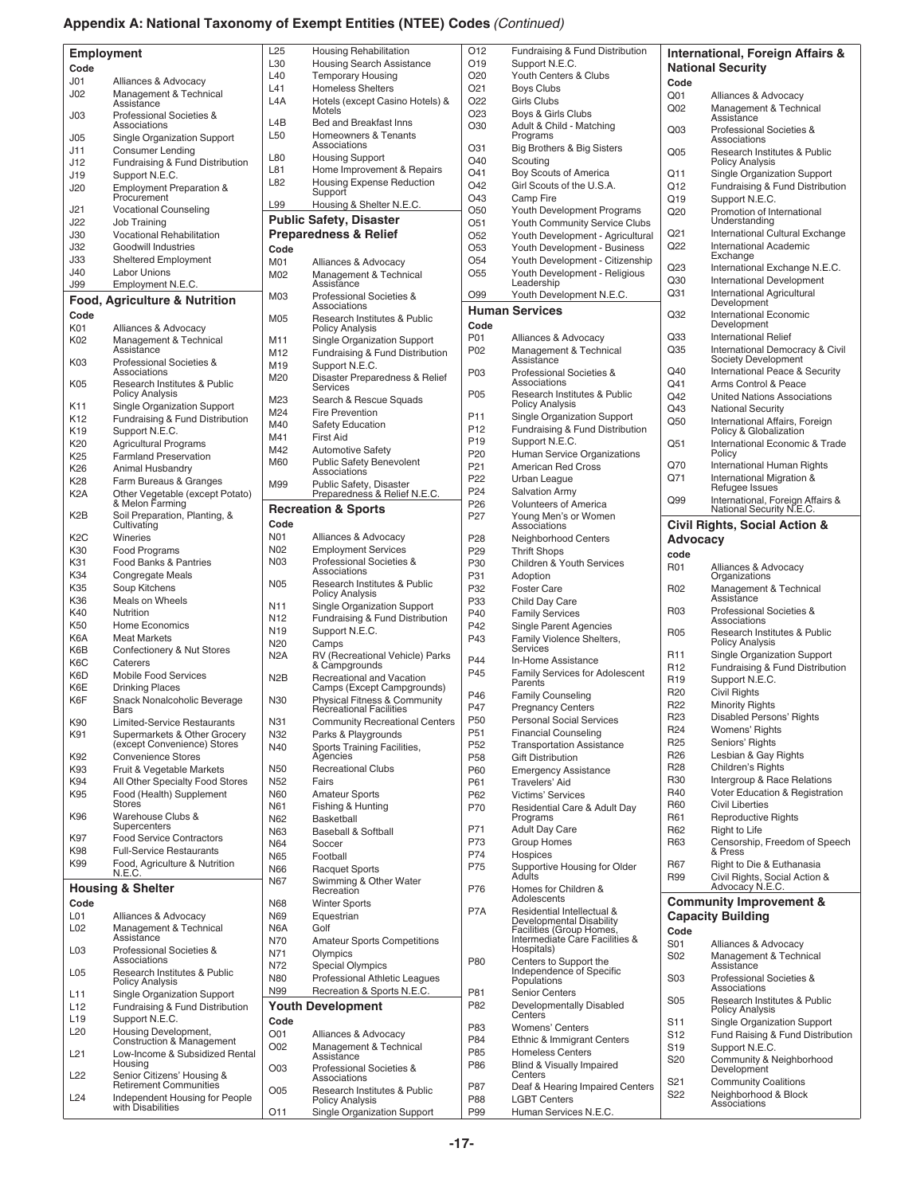# **Appendix A: National Taxonomy of Exempt Entities (NTEE) Codes** *(Continued)*

| Employment       |                                                             | L25              | <b>Housing Rehabilitation</b>                                | O12             | Fundraising & Fund Distribution                        |                 | <b>International, Foreign Affairs &amp;</b>                    |
|------------------|-------------------------------------------------------------|------------------|--------------------------------------------------------------|-----------------|--------------------------------------------------------|-----------------|----------------------------------------------------------------|
|                  |                                                             | L30              | <b>Housing Search Assistance</b>                             | O19             | Support N.E.C.                                         |                 | <b>National Security</b>                                       |
| Code             |                                                             | L40              | <b>Temporary Housing</b>                                     | O20             | Youth Centers & Clubs                                  |                 |                                                                |
| J <sub>01</sub>  | Alliances & Advocacy                                        | L41              | <b>Homeless Shelters</b>                                     | O <sub>21</sub> | <b>Boys Clubs</b>                                      | Code            |                                                                |
| J <sub>02</sub>  | Management & Technical<br>Assistance                        | L4A              | Hotels (except Casino Hotels) &                              | O22             | <b>Girls Clubs</b>                                     | Q <sub>01</sub> | Alliances & Advocacy                                           |
| J03              | Professional Societies &                                    |                  | Motels                                                       | O <sub>23</sub> | Boys & Girls Clubs                                     | Q <sub>02</sub> | Management & Technical                                         |
|                  | Associations                                                | L4B              | Bed and Breakfast Inns                                       | O30             | Adult & Child - Matching                               |                 | Assistance                                                     |
| J05              | Single Organization Support                                 | L50              | <b>Homeowners &amp; Tenants</b>                              |                 | Programs                                               | Q <sub>03</sub> | Professional Societies &<br>Associations                       |
| J11              | <b>Consumer Lending</b>                                     |                  | Associations                                                 | O31             | Big Brothers & Big Sisters                             | Q <sub>05</sub> | Research Institutes & Public                                   |
| J12              | Fundraising & Fund Distribution                             | L80              | <b>Housing Support</b>                                       | O40             | Scouting                                               |                 | <b>Policy Analysis</b>                                         |
| J19              | Support N.E.C.                                              | L81              | Home Improvement & Repairs                                   | O41             | Boy Scouts of America                                  | Q11             | Single Organization Support                                    |
| J20              | <b>Employment Preparation &amp;</b>                         | L82              | <b>Housing Expense Reduction</b>                             | O42             | Girl Scouts of the U.S.A.                              | Q12             | Fundraising & Fund Distribution                                |
|                  | Procurement                                                 |                  | Support                                                      | O43             | Camp Fire                                              | Q19             | Support N.E.C.                                                 |
| J21              | <b>Vocational Counseling</b>                                | L99              | Housing & Shelter N.E.C.                                     | O <sub>50</sub> | Youth Development Programs                             | Q <sub>20</sub> | Promotion of International                                     |
| J22              | Job Training                                                |                  | <b>Public Safety, Disaster</b>                               | O51             | Youth Community Service Clubs                          |                 | Understanding                                                  |
| J30              | <b>Vocational Rehabilitation</b>                            |                  | <b>Preparedness &amp; Relief</b>                             | O <sub>52</sub> | Youth Development - Agricultural                       | Q <sub>21</sub> | International Cultural Exchange                                |
| J32              | Goodwill Industries                                         | Code             |                                                              | O <sub>53</sub> | Youth Development - Business                           | Q22             | <b>International Academic</b>                                  |
| J33              | <b>Sheltered Employment</b>                                 | M01              | Alliances & Advocacy                                         | O <sub>54</sub> | Youth Development - Citizenship                        |                 | Exchange                                                       |
| J40              | <b>Labor Unions</b>                                         | M02              | Management & Technical                                       | O <sub>55</sub> | Youth Development - Religious                          | Q23             | International Exchange N.E.C.                                  |
| J99              | Employment N.E.C.                                           |                  | Assistance                                                   |                 | Leadership                                             | Q30             | <b>International Development</b>                               |
|                  | Food, Agriculture & Nutrition                               | M03              | Professional Societies &                                     | O99             | Youth Development N.E.C.                               | Q <sub>31</sub> | International Agricultural                                     |
|                  |                                                             |                  | Associations                                                 |                 | <b>Human Services</b>                                  |                 | Development                                                    |
| Code             |                                                             | M05              | Research Institutes & Public                                 |                 |                                                        | Q32             | International Economic                                         |
| K01              | Alliances & Advocacy                                        |                  | Policy Analysis                                              | Code            |                                                        | Q <sub>33</sub> | Development                                                    |
| K02              | Management & Technical                                      | M11              | <b>Single Organization Support</b>                           | P01             | Alliances & Advocacy                                   |                 | <b>International Relief</b><br>International Democracy & Civil |
|                  | Assistance                                                  | M12              | Fundraising & Fund Distribution                              | P02             | Management & Technical<br>Assistance                   | Q35             | Society Development                                            |
| K03              | Professional Societies &<br>Associations                    | M19              | Support N.E.C.                                               | P03             | Professional Societies &                               | Q40             | International Peace & Security                                 |
| K05              | Research Institutes & Public                                | M20              | Disaster Preparedness & Relief                               |                 | Associations                                           | Q41             | Arms Control & Peace                                           |
|                  | <b>Policy Analysis</b>                                      |                  | Services                                                     | P05             | Research Institutes & Public                           | Q42             | <b>United Nations Associations</b>                             |
| K11              | Single Organization Support                                 | M23              | Search & Rescue Squads                                       |                 | <b>Policy Analysis</b>                                 | Q43             | <b>National Security</b>                                       |
| K <sub>12</sub>  | Fundraising & Fund Distribution                             | M24              | <b>Fire Prevention</b>                                       | P <sub>11</sub> | <b>Single Organization Support</b>                     | Q50             | International Affairs, Foreign                                 |
| K19              | Support N.E.C.                                              | M40              | <b>Safety Education</b>                                      | P <sub>12</sub> | Fundraising & Fund Distribution                        |                 | Policy & Globalization                                         |
| K <sub>20</sub>  | <b>Agricultural Programs</b>                                | M41              | <b>First Aid</b>                                             | P <sub>19</sub> | Support N.E.C.                                         | Q51             | International Economic & Trade                                 |
| K <sub>25</sub>  | <b>Farmland Preservation</b>                                | M42              | <b>Automotive Safety</b>                                     | P <sub>20</sub> | Human Service Organizations                            |                 | Policy                                                         |
| K26              | Animal Husbandry                                            | M60              | Public Safety Benevolent<br>Associations                     | P <sub>21</sub> | <b>American Red Cross</b>                              | Q70             | <b>International Human Rights</b>                              |
| K28              | Farm Bureaus & Granges                                      | M99              | Public Safety, Disaster                                      | P <sub>22</sub> | Urban League                                           | Q71             | International Migration &                                      |
| K <sub>2</sub> A | Other Vegetable (except Potato)                             |                  | Preparedness & Relief N.E.C.                                 | P <sub>24</sub> | <b>Salvation Army</b>                                  |                 | Refugee Issues                                                 |
|                  | & Melon Farming                                             |                  |                                                              | P26             | <b>Volunteers of America</b>                           | Q99             | International, Foreign Affairs &                               |
| K <sub>2</sub> B | Soil Preparation, Planting, &                               |                  | <b>Recreation &amp; Sports</b>                               | P <sub>27</sub> | Young Men's or Women                                   |                 | National Security N.E.C.                                       |
|                  | Cultivating                                                 | Code             |                                                              |                 | Associations                                           |                 | Civil Rights, Social Action &                                  |
| K <sub>2</sub> C | Wineries                                                    | <b>N01</b>       | Alliances & Advocacy                                         | P28             | Neighborhood Centers                                   | Advocacy        |                                                                |
| K30              | Food Programs                                               | N02              | <b>Employment Services</b>                                   | P <sub>29</sub> | <b>Thrift Shops</b>                                    | code            |                                                                |
| K31              | Food Banks & Pantries                                       | <b>N03</b>       | Professional Societies &<br>Associations                     | P30             | <b>Children &amp; Youth Services</b>                   | R01             | Alliances & Advocacy                                           |
| K34              | Congregate Meals                                            | <b>N05</b>       | Research Institutes & Public                                 | P31             | Adoption                                               |                 | Organizations                                                  |
| K35              | Soup Kitchens                                               |                  | <b>Policy Analysis</b>                                       | P32             | <b>Foster Care</b>                                     | R <sub>02</sub> | Management & Technical                                         |
| K36              | Meals on Wheels                                             | N11              | <b>Single Organization Support</b>                           | P33             | Child Day Care                                         |                 | Assistance                                                     |
| K40              | Nutrition                                                   | N <sub>12</sub>  | Fundraising & Fund Distribution                              | P40             | <b>Family Services</b>                                 | R <sub>03</sub> | Professional Societies &<br>Associations                       |
| K50              | <b>Home Economics</b>                                       | N19              | Support N.E.C.                                               | P42             | <b>Single Parent Agencies</b>                          | R <sub>05</sub> | Research Institutes & Public                                   |
| K6A              | <b>Meat Markets</b>                                         | N <sub>20</sub>  | Camps                                                        | P43             | Family Violence Shelters,                              |                 | <b>Policy Analysis</b>                                         |
| K6B              | Confectionery & Nut Stores                                  | N <sub>2</sub> A | RV (Recreational Vehicle) Parks                              |                 | Services                                               | R <sub>11</sub> | Single Organization Support                                    |
| K6C              | Caterers                                                    |                  | & Campgrounds                                                | P44             | In-Home Assistance                                     | R <sub>12</sub> | Fundraising & Fund Distribution                                |
| K6D              | <b>Mobile Food Services</b>                                 | N <sub>2</sub> B |                                                              | P45             | Family Services for Adolescent<br>Parents              | R <sub>19</sub> | Support N.E.C.                                                 |
| K6E              | <b>Drinking Places</b>                                      |                  | Recreational and Vacation<br>Camps (Except Campgrounds)      | P46             |                                                        | R <sub>20</sub> | <b>Civil Rights</b>                                            |
| K6F              | Snack Nonalcoholic Beverage                                 | N30              | Physical Fitness & Community                                 | P47             | <b>Family Counseling</b><br><b>Pregnancy Centers</b>   | R <sub>22</sub> | <b>Minority Rights</b>                                         |
|                  | Bars                                                        |                  | <b>Recreational Facilities</b>                               | P50             | Personal Social Services                               | R <sub>23</sub> | Disabled Persons' Rights                                       |
| K90              | Limited-Service Restaurants                                 | N31              | <b>Community Recreational Centers</b>                        | P <sub>51</sub> | <b>Financial Counseling</b>                            | R <sub>24</sub> | Womens' Rights                                                 |
| K91              | Supermarkets & Other Grocery<br>(except Convenience) Stores | N32              | Parks & Playgrounds                                          | P <sub>52</sub> | <b>Transportation Assistance</b>                       | R <sub>25</sub> | Seniors' Rights                                                |
| K92              | <b>Convenience Stores</b>                                   | N40              | Sports Training Facilities,<br>Agencies                      | P <sub>58</sub> | <b>Gift Distribution</b>                               | R <sub>26</sub> | Lesbian & Gay Rights                                           |
| K93              | Fruit & Vegetable Markets                                   | N50              | <b>Recreational Clubs</b>                                    | P60             | <b>Emergency Assistance</b>                            | R <sub>28</sub> | Children's Rights                                              |
| K94              | All Other Specialty Food Stores                             | N <sub>52</sub>  | Fairs                                                        | P61             | Travelers' Aid                                         | R30             | Intergroup & Race Relations                                    |
| K95              | Food (Health) Supplement                                    | N60              | <b>Amateur Sports</b>                                        | P62             | <b>Victims' Services</b>                               | R40             | Voter Education & Registration                                 |
|                  | <b>Stores</b>                                               | N61              | Fishing & Hunting                                            | P70             | Residential Care & Adult Day                           | R60             | <b>Civil Liberties</b>                                         |
| K96              | Warehouse Clubs &                                           | N62              | Basketball                                                   |                 | Programs                                               | R61             | <b>Reproductive Rights</b>                                     |
|                  | Supercenters                                                | N63              | <b>Baseball &amp; Softball</b>                               | P71             | <b>Adult Day Care</b>                                  | R62             | Right to Life                                                  |
| K97              | <b>Food Service Contractors</b>                             | N64              | Soccer                                                       | P73             | <b>Group Homes</b>                                     | R63             | Censorship, Freedom of Speech                                  |
| K98              | <b>Full-Service Restaurants</b>                             | N65              | Football                                                     | P74             | Hospices                                               |                 | & Press                                                        |
| K99              | Food, Agriculture & Nutrition                               | N66              | <b>Racquet Sports</b>                                        | P75             | Supportive Housing for Older                           | R67             | Right to Die & Euthanasia                                      |
|                  | N.E.C.                                                      | N67              | Swimming & Other Water                                       |                 | Adults                                                 | R99             | Civil Rights, Social Action &                                  |
|                  | <b>Housing &amp; Shelter</b>                                |                  | Recreation                                                   | P76             | Homes for Children &                                   |                 | Advocacy N.E.C.                                                |
| Code             |                                                             | N68              | <b>Winter Sports</b>                                         |                 | Adolescents                                            |                 | <b>Community Improvement &amp;</b>                             |
| L <sub>0</sub> 1 | Alliances & Advocacy                                        | N69              | Equestrian                                                   | P7A             | Residential Intellectual &<br>Developmental Disability |                 | <b>Capacity Building</b>                                       |
| L <sub>02</sub>  | Management & Technical                                      | N6A              | Golf                                                         |                 | Facilities (Group Homes,                               | Code            |                                                                |
|                  | Assistance                                                  | N70              | <b>Amateur Sports Competitions</b>                           |                 | Intermediate Care Facilities &                         | S01             | Alliances & Advocacy                                           |
| L <sub>03</sub>  | Professional Societies &                                    | N71              | Olympics                                                     |                 | Hospitals)                                             | S <sub>02</sub> | Management & Technical                                         |
|                  | Associations                                                | N72              | <b>Special Olympics</b>                                      | P80             | Centers to Support the<br>Independence of Specific     |                 | Assistance                                                     |
| L <sub>05</sub>  | Research Institutes & Public<br><b>Policy Analysis</b>      | N80              | Professional Athletic Leagues                                |                 | Populations                                            | S <sub>03</sub> | Professional Societies &                                       |
| L11              | Single Organization Support                                 | N99              | Recreation & Sports N.E.C.                                   | P81             | <b>Senior Centers</b>                                  |                 | Associations                                                   |
| L12              | Fundraising & Fund Distribution                             |                  | <b>Youth Development</b>                                     | P82             | Developmentally Disabled                               | S <sub>05</sub> | Research Institutes & Public                                   |
| L <sub>19</sub>  | Support N.E.C.                                              |                  |                                                              |                 | Centers                                                |                 | <b>Policy Analysis</b>                                         |
| L <sub>20</sub>  | Housing Development,                                        | Code<br>O01      |                                                              | P83             | <b>Womens' Centers</b>                                 | S <sub>11</sub> | Single Organization Support                                    |
|                  | Construction & Management                                   | O02              | Alliances & Advocacy                                         | P84             | Ethnic & Immigrant Centers                             | S <sub>12</sub> | Fund Raising & Fund Distribution                               |
| L21              | Low-Income & Subsidized Rental                              |                  | Management & Technical<br>Assistance                         | P85             | <b>Homeless Centers</b>                                | S <sub>19</sub> | Support N.E.C.                                                 |
|                  | Housing                                                     | O03              | Professional Societies &                                     | P86             | Blind & Visually Impaired                              | S20             | Community & Neighborhood<br>Development                        |
| L <sub>22</sub>  |                                                             |                  |                                                              |                 | Centers                                                |                 |                                                                |
|                  |                                                             |                  | Associations                                                 |                 |                                                        |                 |                                                                |
|                  | Senior Citizens' Housing &<br>Retirement Communities        | O05              | <b>Research Institutes &amp; Public</b>                      | P87             | Deaf & Hearing Impaired Centers                        | S <sub>21</sub> | <b>Community Coalitions</b>                                    |
| L24              | Independent Housing for People<br>with Disabilities         | O11              | <b>Policy Analysis</b><br><b>Single Organization Support</b> | P88<br>P99      | <b>LGBT Centers</b><br>Human Services N.E.C.           | S22             | Neighborhood & Block<br>Associations                           |